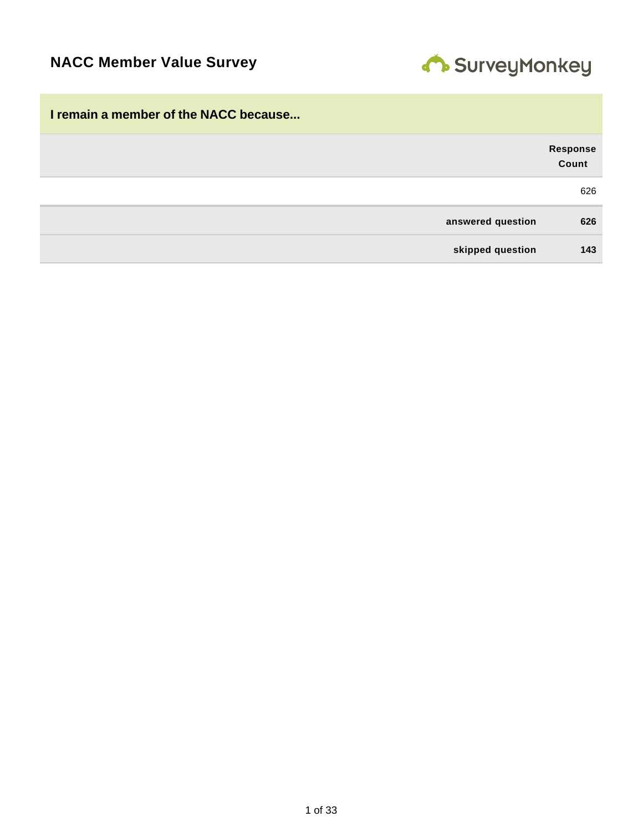

| I remain a member of the NACC because |                          |
|---------------------------------------|--------------------------|
|                                       | <b>Response</b><br>Count |
|                                       | 626                      |
| answered question                     | 626                      |
| skipped question                      | 143                      |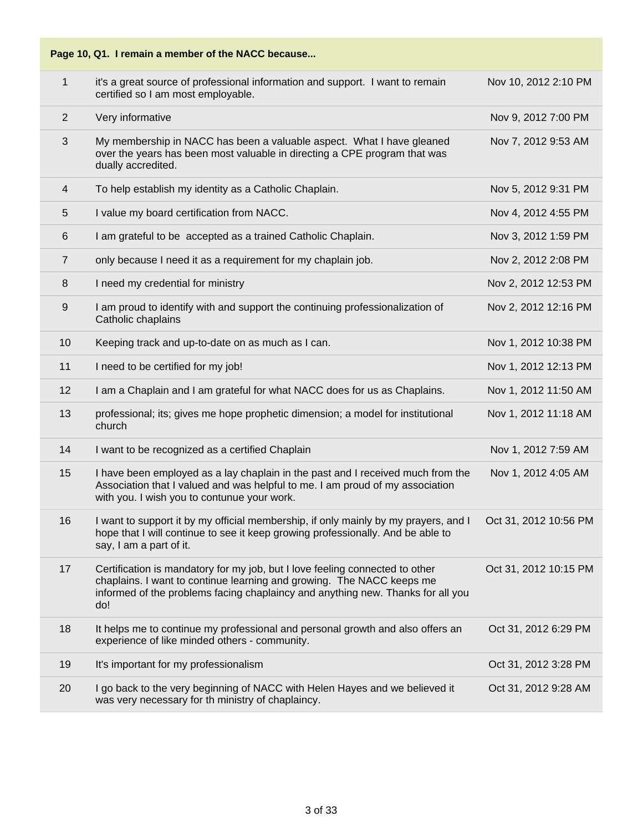

| $\mathbf{1}$   | it's a great source of professional information and support. I want to remain<br>certified so I am most employable.                                                                                                                             | Nov 10, 2012 2:10 PM  |
|----------------|-------------------------------------------------------------------------------------------------------------------------------------------------------------------------------------------------------------------------------------------------|-----------------------|
| $\overline{2}$ | Very informative                                                                                                                                                                                                                                | Nov 9, 2012 7:00 PM   |
| 3              | My membership in NACC has been a valuable aspect. What I have gleaned<br>over the years has been most valuable in directing a CPE program that was<br>dually accredited.                                                                        | Nov 7, 2012 9:53 AM   |
| $\overline{4}$ | To help establish my identity as a Catholic Chaplain.                                                                                                                                                                                           | Nov 5, 2012 9:31 PM   |
| 5              | I value my board certification from NACC.                                                                                                                                                                                                       | Nov 4, 2012 4:55 PM   |
| 6              | I am grateful to be accepted as a trained Catholic Chaplain.                                                                                                                                                                                    | Nov 3, 2012 1:59 PM   |
| $\overline{7}$ | only because I need it as a requirement for my chaplain job.                                                                                                                                                                                    | Nov 2, 2012 2:08 PM   |
| 8              | I need my credential for ministry                                                                                                                                                                                                               | Nov 2, 2012 12:53 PM  |
| $9\,$          | I am proud to identify with and support the continuing professionalization of<br>Catholic chaplains                                                                                                                                             | Nov 2, 2012 12:16 PM  |
| 10             | Keeping track and up-to-date on as much as I can.                                                                                                                                                                                               | Nov 1, 2012 10:38 PM  |
| 11             | I need to be certified for my job!                                                                                                                                                                                                              | Nov 1, 2012 12:13 PM  |
| 12             | I am a Chaplain and I am grateful for what NACC does for us as Chaplains.                                                                                                                                                                       | Nov 1, 2012 11:50 AM  |
| 13             | professional; its; gives me hope prophetic dimension; a model for institutional<br>church                                                                                                                                                       | Nov 1, 2012 11:18 AM  |
| 14             | I want to be recognized as a certified Chaplain                                                                                                                                                                                                 | Nov 1, 2012 7:59 AM   |
| 15             | I have been employed as a lay chaplain in the past and I received much from the<br>Association that I valued and was helpful to me. I am proud of my association<br>with you. I wish you to contunue your work.                                 | Nov 1, 2012 4:05 AM   |
| 16             | I want to support it by my official membership, if only mainly by my prayers, and I<br>hope that I will continue to see it keep growing professionally. And be able to<br>say, I am a part of it.                                               | Oct 31, 2012 10:56 PM |
| 17             | Certification is mandatory for my job, but I love feeling connected to other<br>chaplains. I want to continue learning and growing. The NACC keeps me<br>informed of the problems facing chaplaincy and anything new. Thanks for all you<br>do! | Oct 31, 2012 10:15 PM |
| 18             | It helps me to continue my professional and personal growth and also offers an<br>experience of like minded others - community.                                                                                                                 | Oct 31, 2012 6:29 PM  |
| 19             | It's important for my professionalism                                                                                                                                                                                                           | Oct 31, 2012 3:28 PM  |
| 20             | I go back to the very beginning of NACC with Helen Hayes and we believed it<br>was very necessary for th ministry of chaplaincy.                                                                                                                | Oct 31, 2012 9:28 AM  |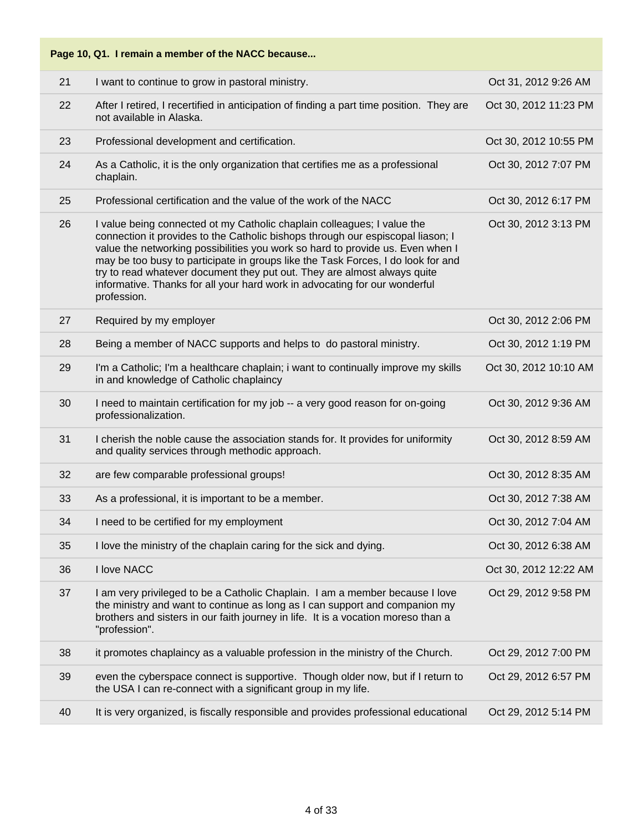| Page 10, Q1. I remain a member of the NACC because |                                                                                                                                                                                                                                                                                                                                                                                                                                                                                                           |                       |  |
|----------------------------------------------------|-----------------------------------------------------------------------------------------------------------------------------------------------------------------------------------------------------------------------------------------------------------------------------------------------------------------------------------------------------------------------------------------------------------------------------------------------------------------------------------------------------------|-----------------------|--|
| 21                                                 | I want to continue to grow in pastoral ministry.                                                                                                                                                                                                                                                                                                                                                                                                                                                          | Oct 31, 2012 9:26 AM  |  |
| 22                                                 | After I retired, I recertified in anticipation of finding a part time position. They are<br>not available in Alaska.                                                                                                                                                                                                                                                                                                                                                                                      | Oct 30, 2012 11:23 PM |  |
| 23                                                 | Professional development and certification.                                                                                                                                                                                                                                                                                                                                                                                                                                                               | Oct 30, 2012 10:55 PM |  |
| 24                                                 | As a Catholic, it is the only organization that certifies me as a professional<br>chaplain.                                                                                                                                                                                                                                                                                                                                                                                                               | Oct 30, 2012 7:07 PM  |  |
| 25                                                 | Professional certification and the value of the work of the NACC                                                                                                                                                                                                                                                                                                                                                                                                                                          | Oct 30, 2012 6:17 PM  |  |
| 26                                                 | I value being connected ot my Catholic chaplain colleagues; I value the<br>connection it provides to the Catholic bishops through our espiscopal liason; I<br>value the networking possibilities you work so hard to provide us. Even when I<br>may be too busy to participate in groups like the Task Forces, I do look for and<br>try to read whatever document they put out. They are almost always quite<br>informative. Thanks for all your hard work in advocating for our wonderful<br>profession. | Oct 30, 2012 3:13 PM  |  |
| 27                                                 | Required by my employer                                                                                                                                                                                                                                                                                                                                                                                                                                                                                   | Oct 30, 2012 2:06 PM  |  |
| 28                                                 | Being a member of NACC supports and helps to do pastoral ministry.                                                                                                                                                                                                                                                                                                                                                                                                                                        | Oct 30, 2012 1:19 PM  |  |
| 29                                                 | I'm a Catholic; I'm a healthcare chaplain; i want to continually improve my skills<br>in and knowledge of Catholic chaplaincy                                                                                                                                                                                                                                                                                                                                                                             | Oct 30, 2012 10:10 AM |  |
| 30                                                 | I need to maintain certification for my job -- a very good reason for on-going<br>professionalization.                                                                                                                                                                                                                                                                                                                                                                                                    | Oct 30, 2012 9:36 AM  |  |
| 31                                                 | I cherish the noble cause the association stands for. It provides for uniformity<br>and quality services through methodic approach.                                                                                                                                                                                                                                                                                                                                                                       | Oct 30, 2012 8:59 AM  |  |
| 32                                                 | are few comparable professional groups!                                                                                                                                                                                                                                                                                                                                                                                                                                                                   | Oct 30, 2012 8:35 AM  |  |
| 33                                                 | As a professional, it is important to be a member.                                                                                                                                                                                                                                                                                                                                                                                                                                                        | Oct 30, 2012 7:38 AM  |  |
| 34                                                 | I need to be certified for my employment                                                                                                                                                                                                                                                                                                                                                                                                                                                                  | Oct 30, 2012 7:04 AM  |  |
| 35                                                 | I love the ministry of the chaplain caring for the sick and dying.                                                                                                                                                                                                                                                                                                                                                                                                                                        | Oct 30, 2012 6:38 AM  |  |
| 36                                                 | I love NACC                                                                                                                                                                                                                                                                                                                                                                                                                                                                                               | Oct 30, 2012 12:22 AM |  |
| 37                                                 | I am very privileged to be a Catholic Chaplain. I am a member because I love<br>the ministry and want to continue as long as I can support and companion my<br>brothers and sisters in our faith journey in life. It is a vocation moreso than a<br>"profession".                                                                                                                                                                                                                                         | Oct 29, 2012 9:58 PM  |  |
| 38                                                 | it promotes chaplaincy as a valuable profession in the ministry of the Church.                                                                                                                                                                                                                                                                                                                                                                                                                            | Oct 29, 2012 7:00 PM  |  |
| 39                                                 | even the cyberspace connect is supportive. Though older now, but if I return to<br>the USA I can re-connect with a significant group in my life.                                                                                                                                                                                                                                                                                                                                                          | Oct 29, 2012 6:57 PM  |  |
| 40                                                 | It is very organized, is fiscally responsible and provides professional educational                                                                                                                                                                                                                                                                                                                                                                                                                       | Oct 29, 2012 5:14 PM  |  |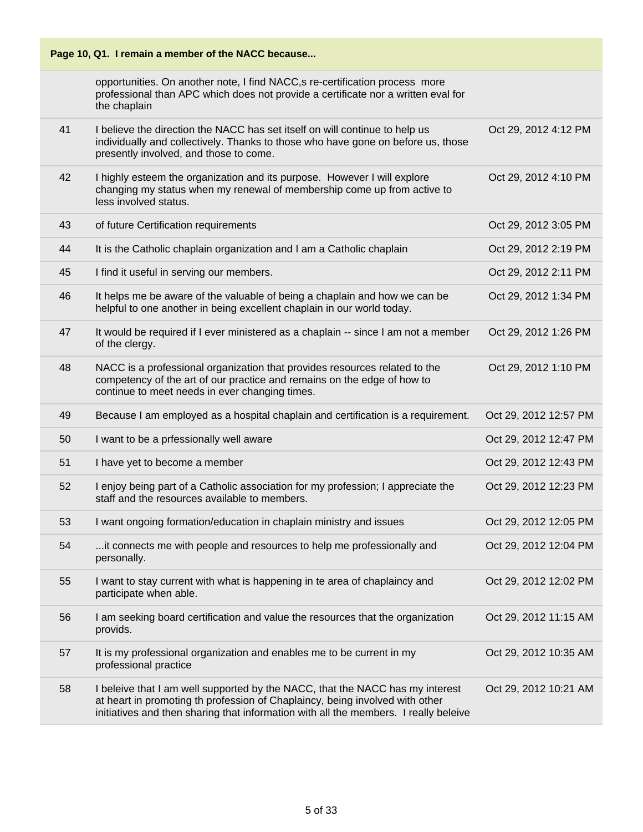| Page 10, Q1. I remain a member of the NACC because |                                                                                                                                                                                                                                                       |                       |
|----------------------------------------------------|-------------------------------------------------------------------------------------------------------------------------------------------------------------------------------------------------------------------------------------------------------|-----------------------|
|                                                    | opportunities. On another note, I find NACC, s re-certification process more<br>professional than APC which does not provide a certificate nor a written eval for<br>the chaplain                                                                     |                       |
| 41                                                 | I believe the direction the NACC has set itself on will continue to help us<br>individually and collectively. Thanks to those who have gone on before us, those<br>presently involved, and those to come.                                             | Oct 29, 2012 4:12 PM  |
| 42                                                 | I highly esteem the organization and its purpose. However I will explore<br>changing my status when my renewal of membership come up from active to<br>less involved status.                                                                          | Oct 29, 2012 4:10 PM  |
| 43                                                 | of future Certification requirements                                                                                                                                                                                                                  | Oct 29, 2012 3:05 PM  |
| 44                                                 | It is the Catholic chaplain organization and I am a Catholic chaplain                                                                                                                                                                                 | Oct 29, 2012 2:19 PM  |
| 45                                                 | I find it useful in serving our members.                                                                                                                                                                                                              | Oct 29, 2012 2:11 PM  |
| 46                                                 | It helps me be aware of the valuable of being a chaplain and how we can be<br>helpful to one another in being excellent chaplain in our world today.                                                                                                  | Oct 29, 2012 1:34 PM  |
| 47                                                 | It would be required if I ever ministered as a chaplain -- since I am not a member<br>of the clergy.                                                                                                                                                  | Oct 29, 2012 1:26 PM  |
| 48                                                 | NACC is a professional organization that provides resources related to the<br>competency of the art of our practice and remains on the edge of how to<br>continue to meet needs in ever changing times.                                               | Oct 29, 2012 1:10 PM  |
| 49                                                 | Because I am employed as a hospital chaplain and certification is a requirement.                                                                                                                                                                      | Oct 29, 2012 12:57 PM |
| 50                                                 | I want to be a prfessionally well aware                                                                                                                                                                                                               | Oct 29, 2012 12:47 PM |
| 51                                                 | I have yet to become a member                                                                                                                                                                                                                         | Oct 29, 2012 12:43 PM |
| 52                                                 | I enjoy being part of a Catholic association for my profession; I appreciate the<br>staff and the resources available to members.                                                                                                                     | Oct 29, 2012 12:23 PM |
| 53                                                 | I want ongoing formation/education in chaplain ministry and issues                                                                                                                                                                                    | Oct 29, 2012 12:05 PM |
| 54                                                 | it connects me with people and resources to help me professionally and<br>personally.                                                                                                                                                                 | Oct 29, 2012 12:04 PM |
| 55                                                 | I want to stay current with what is happening in te area of chaplaincy and<br>participate when able.                                                                                                                                                  | Oct 29, 2012 12:02 PM |
| 56                                                 | I am seeking board certification and value the resources that the organization<br>provids.                                                                                                                                                            | Oct 29, 2012 11:15 AM |
| 57                                                 | It is my professional organization and enables me to be current in my<br>professional practice                                                                                                                                                        | Oct 29, 2012 10:35 AM |
| 58                                                 | I beleive that I am well supported by the NACC, that the NACC has my interest<br>at heart in promoting th profession of Chaplaincy, being involved with other<br>initiatives and then sharing that information with all the members. I really beleive | Oct 29, 2012 10:21 AM |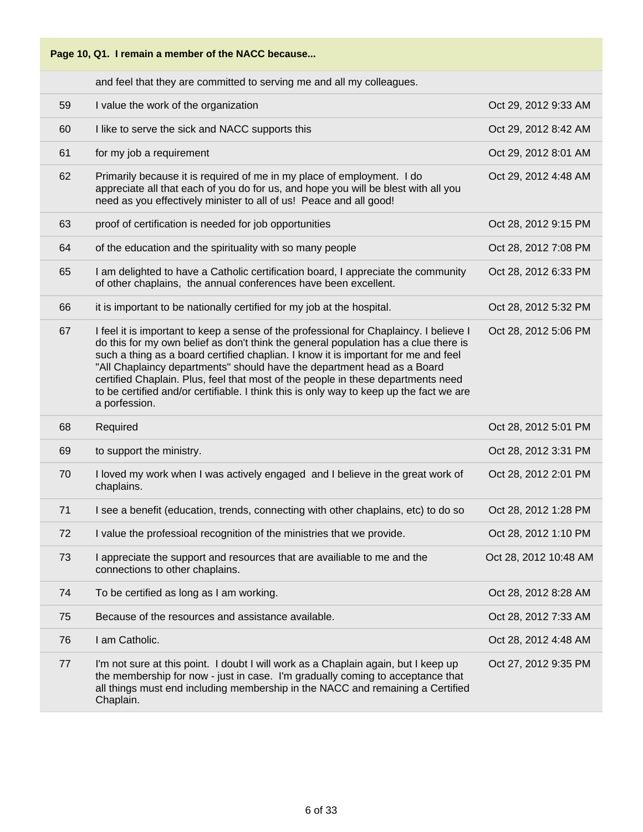

and feel that they are committed to serving me and all my colleagues.

| 59 | I value the work of the organization                                                                                                                                                                                                                                                                                                                                                                                                                                                                                                           | Oct 29, 2012 9:33 AM  |
|----|------------------------------------------------------------------------------------------------------------------------------------------------------------------------------------------------------------------------------------------------------------------------------------------------------------------------------------------------------------------------------------------------------------------------------------------------------------------------------------------------------------------------------------------------|-----------------------|
| 60 | I like to serve the sick and NACC supports this                                                                                                                                                                                                                                                                                                                                                                                                                                                                                                | Oct 29, 2012 8:42 AM  |
| 61 | for my job a requirement                                                                                                                                                                                                                                                                                                                                                                                                                                                                                                                       | Oct 29, 2012 8:01 AM  |
| 62 | Primarily because it is required of me in my place of employment. I do<br>appreciate all that each of you do for us, and hope you will be blest with all you<br>need as you effectively minister to all of us! Peace and all good!                                                                                                                                                                                                                                                                                                             | Oct 29, 2012 4:48 AM  |
| 63 | proof of certification is needed for job opportunities                                                                                                                                                                                                                                                                                                                                                                                                                                                                                         | Oct 28, 2012 9:15 PM  |
| 64 | of the education and the spirituality with so many people                                                                                                                                                                                                                                                                                                                                                                                                                                                                                      | Oct 28, 2012 7:08 PM  |
| 65 | I am delighted to have a Catholic certification board, I appreciate the community<br>of other chaplains, the annual conferences have been excellent.                                                                                                                                                                                                                                                                                                                                                                                           | Oct 28, 2012 6:33 PM  |
| 66 | it is important to be nationally certified for my job at the hospital.                                                                                                                                                                                                                                                                                                                                                                                                                                                                         | Oct 28, 2012 5:32 PM  |
| 67 | I feel it is important to keep a sense of the professional for Chaplaincy. I believe I<br>do this for my own belief as don't think the general population has a clue there is<br>such a thing as a board certified chaplian. I know it is important for me and feel<br>"All Chaplaincy departments" should have the department head as a Board<br>certified Chaplain. Plus, feel that most of the people in these departments need<br>to be certified and/or certifiable. I think this is only way to keep up the fact we are<br>a porfession. | Oct 28, 2012 5:06 PM  |
| 68 | Required                                                                                                                                                                                                                                                                                                                                                                                                                                                                                                                                       | Oct 28, 2012 5:01 PM  |
| 69 | to support the ministry.                                                                                                                                                                                                                                                                                                                                                                                                                                                                                                                       | Oct 28, 2012 3:31 PM  |
| 70 | I loved my work when I was actively engaged and I believe in the great work of<br>chaplains.                                                                                                                                                                                                                                                                                                                                                                                                                                                   | Oct 28, 2012 2:01 PM  |
| 71 | I see a benefit (education, trends, connecting with other chaplains, etc) to do so                                                                                                                                                                                                                                                                                                                                                                                                                                                             | Oct 28, 2012 1:28 PM  |
| 72 | I value the professioal recognition of the ministries that we provide.                                                                                                                                                                                                                                                                                                                                                                                                                                                                         | Oct 28, 2012 1:10 PM  |
| 73 | I appreciate the support and resources that are availiable to me and the<br>connections to other chaplains.                                                                                                                                                                                                                                                                                                                                                                                                                                    | Oct 28, 2012 10:48 AM |
| 74 | To be certified as long as I am working.                                                                                                                                                                                                                                                                                                                                                                                                                                                                                                       | Oct 28, 2012 8:28 AM  |
| 75 | Because of the resources and assistance available.                                                                                                                                                                                                                                                                                                                                                                                                                                                                                             | Oct 28, 2012 7:33 AM  |
| 76 | I am Catholic.                                                                                                                                                                                                                                                                                                                                                                                                                                                                                                                                 | Oct 28, 2012 4:48 AM  |
| 77 | I'm not sure at this point. I doubt I will work as a Chaplain again, but I keep up<br>the membership for now - just in case. I'm gradually coming to acceptance that<br>all things must end including membership in the NACC and remaining a Certified<br>Chaplain.                                                                                                                                                                                                                                                                            | Oct 27, 2012 9:35 PM  |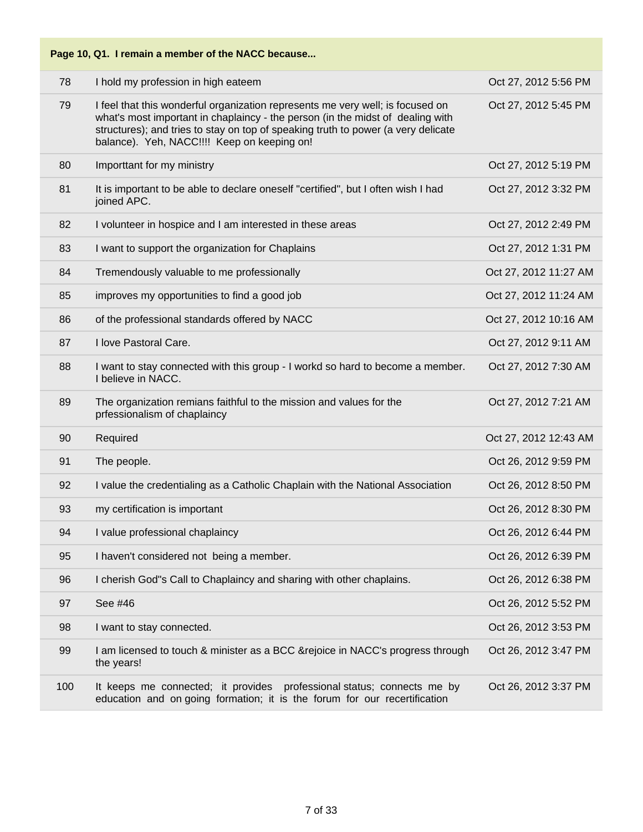| Page 10, Q1. I remain a member of the NACC because |                                                                                                                                                                                                                                                                                                       |                       |
|----------------------------------------------------|-------------------------------------------------------------------------------------------------------------------------------------------------------------------------------------------------------------------------------------------------------------------------------------------------------|-----------------------|
| 78                                                 | I hold my profession in high eateem                                                                                                                                                                                                                                                                   | Oct 27, 2012 5:56 PM  |
| 79                                                 | I feel that this wonderful organization represents me very well; is focused on<br>what's most important in chaplaincy - the person (in the midst of dealing with<br>structures); and tries to stay on top of speaking truth to power (a very delicate<br>balance). Yeh, NACC !!!! Keep on keeping on! | Oct 27, 2012 5:45 PM  |
| 80                                                 | Importtant for my ministry                                                                                                                                                                                                                                                                            | Oct 27, 2012 5:19 PM  |
| 81                                                 | It is important to be able to declare oneself "certified", but I often wish I had<br>joined APC.                                                                                                                                                                                                      | Oct 27, 2012 3:32 PM  |
| 82                                                 | I volunteer in hospice and I am interested in these areas                                                                                                                                                                                                                                             | Oct 27, 2012 2:49 PM  |
| 83                                                 | I want to support the organization for Chaplains                                                                                                                                                                                                                                                      | Oct 27, 2012 1:31 PM  |
| 84                                                 | Tremendously valuable to me professionally                                                                                                                                                                                                                                                            | Oct 27, 2012 11:27 AM |
| 85                                                 | improves my opportunities to find a good job                                                                                                                                                                                                                                                          | Oct 27, 2012 11:24 AM |
| 86                                                 | of the professional standards offered by NACC                                                                                                                                                                                                                                                         | Oct 27, 2012 10:16 AM |
| 87                                                 | I love Pastoral Care.                                                                                                                                                                                                                                                                                 | Oct 27, 2012 9:11 AM  |
| 88                                                 | I want to stay connected with this group - I workd so hard to become a member.<br>I believe in NACC.                                                                                                                                                                                                  | Oct 27, 2012 7:30 AM  |
| 89                                                 | The organization remians faithful to the mission and values for the<br>prfessionalism of chaplaincy                                                                                                                                                                                                   | Oct 27, 2012 7:21 AM  |
| 90                                                 | Required                                                                                                                                                                                                                                                                                              | Oct 27, 2012 12:43 AM |
| 91                                                 | The people.                                                                                                                                                                                                                                                                                           | Oct 26, 2012 9:59 PM  |
| 92                                                 | I value the credentialing as a Catholic Chaplain with the National Association                                                                                                                                                                                                                        | Oct 26, 2012 8:50 PM  |
| 93                                                 | my certification is important                                                                                                                                                                                                                                                                         | Oct 26, 2012 8:30 PM  |
| 94                                                 | I value professional chaplaincy                                                                                                                                                                                                                                                                       | Oct 26, 2012 6:44 PM  |
| 95                                                 | I haven't considered not being a member.                                                                                                                                                                                                                                                              | Oct 26, 2012 6:39 PM  |
| 96                                                 | I cherish God"s Call to Chaplaincy and sharing with other chaplains.                                                                                                                                                                                                                                  | Oct 26, 2012 6:38 PM  |
| 97                                                 | See #46                                                                                                                                                                                                                                                                                               | Oct 26, 2012 5:52 PM  |
| 98                                                 | I want to stay connected.                                                                                                                                                                                                                                                                             | Oct 26, 2012 3:53 PM  |
| 99                                                 | I am licensed to touch & minister as a BCC & rejoice in NACC's progress through<br>the years!                                                                                                                                                                                                         | Oct 26, 2012 3:47 PM  |
| 100                                                | It keeps me connected; it provides professional status; connects me by<br>education and on going formation; it is the forum for our recertification                                                                                                                                                   | Oct 26, 2012 3:37 PM  |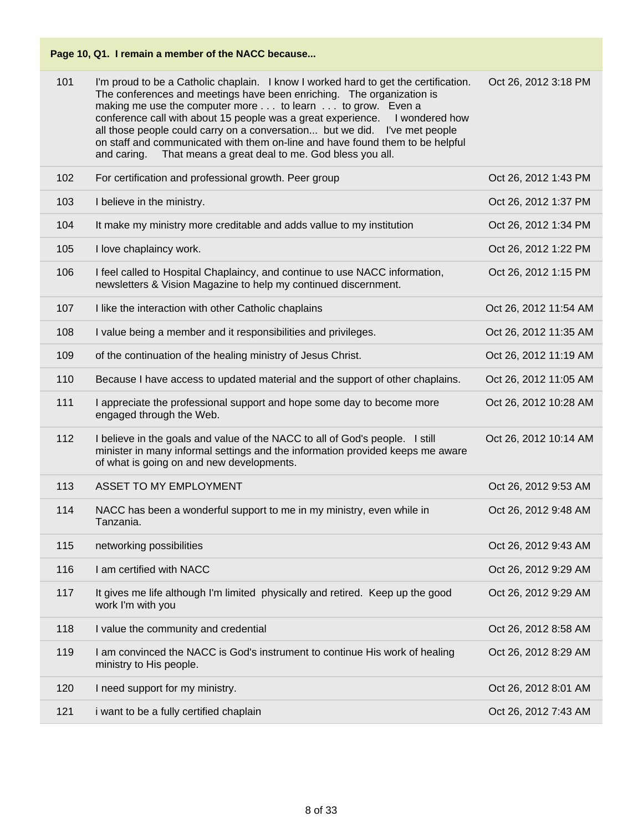| 101 | I'm proud to be a Catholic chaplain. I know I worked hard to get the certification.<br>The conferences and meetings have been enriching. The organization is<br>making me use the computer more to learn to grow. Even a<br>conference call with about 15 people was a great experience.<br>I wondered how<br>all those people could carry on a conversation but we did. I've met people<br>on staff and communicated with them on-line and have found them to be helpful<br>That means a great deal to me. God bless you all.<br>and caring. | Oct 26, 2012 3:18 PM  |
|-----|-----------------------------------------------------------------------------------------------------------------------------------------------------------------------------------------------------------------------------------------------------------------------------------------------------------------------------------------------------------------------------------------------------------------------------------------------------------------------------------------------------------------------------------------------|-----------------------|
| 102 | For certification and professional growth. Peer group                                                                                                                                                                                                                                                                                                                                                                                                                                                                                         | Oct 26, 2012 1:43 PM  |
| 103 | I believe in the ministry.                                                                                                                                                                                                                                                                                                                                                                                                                                                                                                                    | Oct 26, 2012 1:37 PM  |
| 104 | It make my ministry more creditable and adds vallue to my institution                                                                                                                                                                                                                                                                                                                                                                                                                                                                         | Oct 26, 2012 1:34 PM  |
| 105 | I love chaplaincy work.                                                                                                                                                                                                                                                                                                                                                                                                                                                                                                                       | Oct 26, 2012 1:22 PM  |
| 106 | I feel called to Hospital Chaplaincy, and continue to use NACC information,<br>newsletters & Vision Magazine to help my continued discernment.                                                                                                                                                                                                                                                                                                                                                                                                | Oct 26, 2012 1:15 PM  |
| 107 | I like the interaction with other Catholic chaplains                                                                                                                                                                                                                                                                                                                                                                                                                                                                                          | Oct 26, 2012 11:54 AM |
| 108 | I value being a member and it responsibilities and privileges.                                                                                                                                                                                                                                                                                                                                                                                                                                                                                | Oct 26, 2012 11:35 AM |
| 109 | of the continuation of the healing ministry of Jesus Christ.                                                                                                                                                                                                                                                                                                                                                                                                                                                                                  | Oct 26, 2012 11:19 AM |
| 110 | Because I have access to updated material and the support of other chaplains.                                                                                                                                                                                                                                                                                                                                                                                                                                                                 | Oct 26, 2012 11:05 AM |
| 111 | I appreciate the professional support and hope some day to become more<br>engaged through the Web.                                                                                                                                                                                                                                                                                                                                                                                                                                            | Oct 26, 2012 10:28 AM |
| 112 | I believe in the goals and value of the NACC to all of God's people. I still<br>minister in many informal settings and the information provided keeps me aware<br>of what is going on and new developments.                                                                                                                                                                                                                                                                                                                                   | Oct 26, 2012 10:14 AM |
| 113 | ASSET TO MY EMPLOYMENT                                                                                                                                                                                                                                                                                                                                                                                                                                                                                                                        | Oct 26, 2012 9:53 AM  |
| 114 | NACC has been a wonderful support to me in my ministry, even while in<br>Tanzania.                                                                                                                                                                                                                                                                                                                                                                                                                                                            | Oct 26, 2012 9:48 AM  |
| 115 | networking possibilities                                                                                                                                                                                                                                                                                                                                                                                                                                                                                                                      | Oct 26, 2012 9:43 AM  |
| 116 | I am certified with NACC                                                                                                                                                                                                                                                                                                                                                                                                                                                                                                                      | Oct 26, 2012 9:29 AM  |
| 117 | It gives me life although I'm limited physically and retired. Keep up the good<br>work I'm with you                                                                                                                                                                                                                                                                                                                                                                                                                                           | Oct 26, 2012 9:29 AM  |
| 118 | I value the community and credential                                                                                                                                                                                                                                                                                                                                                                                                                                                                                                          | Oct 26, 2012 8:58 AM  |
| 119 | I am convinced the NACC is God's instrument to continue His work of healing<br>ministry to His people.                                                                                                                                                                                                                                                                                                                                                                                                                                        | Oct 26, 2012 8:29 AM  |
| 120 | I need support for my ministry.                                                                                                                                                                                                                                                                                                                                                                                                                                                                                                               | Oct 26, 2012 8:01 AM  |
| 121 | i want to be a fully certified chaplain                                                                                                                                                                                                                                                                                                                                                                                                                                                                                                       | Oct 26, 2012 7:43 AM  |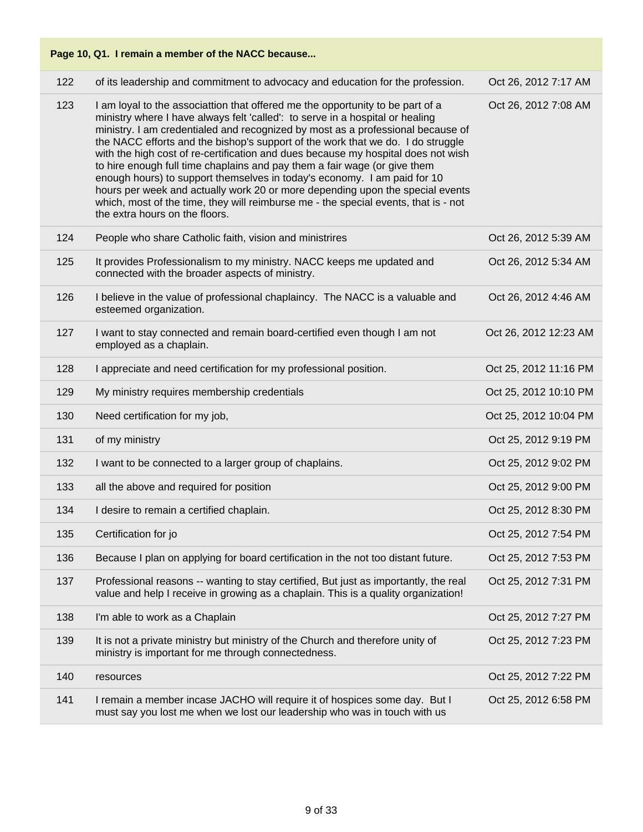| 122 | of its leadership and commitment to advocacy and education for the profession.                                                                                                                                                                                                                                                                                                                                                                                                                                                                                                                                                                                                                                                                                                                | Oct 26, 2012 7:17 AM  |
|-----|-----------------------------------------------------------------------------------------------------------------------------------------------------------------------------------------------------------------------------------------------------------------------------------------------------------------------------------------------------------------------------------------------------------------------------------------------------------------------------------------------------------------------------------------------------------------------------------------------------------------------------------------------------------------------------------------------------------------------------------------------------------------------------------------------|-----------------------|
| 123 | I am loyal to the associattion that offered me the opportunity to be part of a<br>ministry where I have always felt 'called': to serve in a hospital or healing<br>ministry. I am credentialed and recognized by most as a professional because of<br>the NACC efforts and the bishop's support of the work that we do. I do struggle<br>with the high cost of re-certification and dues because my hospital does not wish<br>to hire enough full time chaplains and pay them a fair wage (or give them<br>enough hours) to support themselves in today's economy. I am paid for 10<br>hours per week and actually work 20 or more depending upon the special events<br>which, most of the time, they will reimburse me - the special events, that is - not<br>the extra hours on the floors. | Oct 26, 2012 7:08 AM  |
| 124 | People who share Catholic faith, vision and ministrires                                                                                                                                                                                                                                                                                                                                                                                                                                                                                                                                                                                                                                                                                                                                       | Oct 26, 2012 5:39 AM  |
| 125 | It provides Professionalism to my ministry. NACC keeps me updated and<br>connected with the broader aspects of ministry.                                                                                                                                                                                                                                                                                                                                                                                                                                                                                                                                                                                                                                                                      | Oct 26, 2012 5:34 AM  |
| 126 | I believe in the value of professional chaplaincy. The NACC is a valuable and<br>esteemed organization.                                                                                                                                                                                                                                                                                                                                                                                                                                                                                                                                                                                                                                                                                       | Oct 26, 2012 4:46 AM  |
| 127 | I want to stay connected and remain board-certified even though I am not<br>employed as a chaplain.                                                                                                                                                                                                                                                                                                                                                                                                                                                                                                                                                                                                                                                                                           | Oct 26, 2012 12:23 AM |
| 128 | I appreciate and need certification for my professional position.                                                                                                                                                                                                                                                                                                                                                                                                                                                                                                                                                                                                                                                                                                                             | Oct 25, 2012 11:16 PM |
| 129 | My ministry requires membership credentials                                                                                                                                                                                                                                                                                                                                                                                                                                                                                                                                                                                                                                                                                                                                                   | Oct 25, 2012 10:10 PM |
| 130 | Need certification for my job,                                                                                                                                                                                                                                                                                                                                                                                                                                                                                                                                                                                                                                                                                                                                                                | Oct 25, 2012 10:04 PM |
| 131 | of my ministry                                                                                                                                                                                                                                                                                                                                                                                                                                                                                                                                                                                                                                                                                                                                                                                | Oct 25, 2012 9:19 PM  |
| 132 | I want to be connected to a larger group of chaplains.                                                                                                                                                                                                                                                                                                                                                                                                                                                                                                                                                                                                                                                                                                                                        | Oct 25, 2012 9:02 PM  |
| 133 | all the above and required for position                                                                                                                                                                                                                                                                                                                                                                                                                                                                                                                                                                                                                                                                                                                                                       | Oct 25, 2012 9:00 PM  |
| 134 | I desire to remain a certified chaplain.                                                                                                                                                                                                                                                                                                                                                                                                                                                                                                                                                                                                                                                                                                                                                      | Oct 25, 2012 8:30 PM  |
| 135 | Certification for jo                                                                                                                                                                                                                                                                                                                                                                                                                                                                                                                                                                                                                                                                                                                                                                          | Oct 25, 2012 7:54 PM  |
| 136 | Because I plan on applying for board certification in the not too distant future.                                                                                                                                                                                                                                                                                                                                                                                                                                                                                                                                                                                                                                                                                                             | Oct 25, 2012 7:53 PM  |
| 137 | Professional reasons -- wanting to stay certified, But just as importantly, the real<br>value and help I receive in growing as a chaplain. This is a quality organization!                                                                                                                                                                                                                                                                                                                                                                                                                                                                                                                                                                                                                    | Oct 25, 2012 7:31 PM  |
| 138 | I'm able to work as a Chaplain                                                                                                                                                                                                                                                                                                                                                                                                                                                                                                                                                                                                                                                                                                                                                                | Oct 25, 2012 7:27 PM  |
| 139 | It is not a private ministry but ministry of the Church and therefore unity of<br>ministry is important for me through connectedness.                                                                                                                                                                                                                                                                                                                                                                                                                                                                                                                                                                                                                                                         | Oct 25, 2012 7:23 PM  |
| 140 | resources                                                                                                                                                                                                                                                                                                                                                                                                                                                                                                                                                                                                                                                                                                                                                                                     | Oct 25, 2012 7:22 PM  |
| 141 | I remain a member incase JACHO will require it of hospices some day. But I<br>must say you lost me when we lost our leadership who was in touch with us                                                                                                                                                                                                                                                                                                                                                                                                                                                                                                                                                                                                                                       | Oct 25, 2012 6:58 PM  |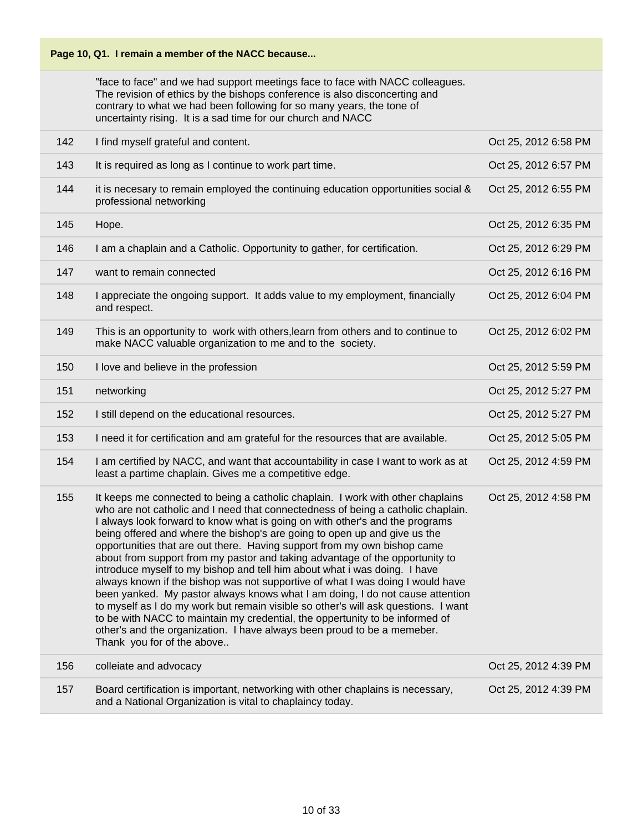

"face to face" and we had support meetings face to face with NACC colleagues. The revision of ethics by the bishops conference is also disconcerting and contrary to what we had been following for so many years, the tone of uncertainty rising. It is a sad time for our church and NACC

| 142 | I find myself grateful and content.                                                                                                                                                                                                                                                                                                                                                                                                                                                                                                                                                                                                                                                                                                                                                                                                                                                                                                                                                                                         | Oct 25, 2012 6:58 PM |
|-----|-----------------------------------------------------------------------------------------------------------------------------------------------------------------------------------------------------------------------------------------------------------------------------------------------------------------------------------------------------------------------------------------------------------------------------------------------------------------------------------------------------------------------------------------------------------------------------------------------------------------------------------------------------------------------------------------------------------------------------------------------------------------------------------------------------------------------------------------------------------------------------------------------------------------------------------------------------------------------------------------------------------------------------|----------------------|
| 143 | It is required as long as I continue to work part time.                                                                                                                                                                                                                                                                                                                                                                                                                                                                                                                                                                                                                                                                                                                                                                                                                                                                                                                                                                     | Oct 25, 2012 6:57 PM |
| 144 | it is necesary to remain employed the continuing education opportunities social &<br>professional networking                                                                                                                                                                                                                                                                                                                                                                                                                                                                                                                                                                                                                                                                                                                                                                                                                                                                                                                | Oct 25, 2012 6:55 PM |
| 145 | Hope.                                                                                                                                                                                                                                                                                                                                                                                                                                                                                                                                                                                                                                                                                                                                                                                                                                                                                                                                                                                                                       | Oct 25, 2012 6:35 PM |
| 146 | I am a chaplain and a Catholic. Opportunity to gather, for certification.                                                                                                                                                                                                                                                                                                                                                                                                                                                                                                                                                                                                                                                                                                                                                                                                                                                                                                                                                   | Oct 25, 2012 6:29 PM |
| 147 | want to remain connected                                                                                                                                                                                                                                                                                                                                                                                                                                                                                                                                                                                                                                                                                                                                                                                                                                                                                                                                                                                                    | Oct 25, 2012 6:16 PM |
| 148 | I appreciate the ongoing support. It adds value to my employment, financially<br>and respect.                                                                                                                                                                                                                                                                                                                                                                                                                                                                                                                                                                                                                                                                                                                                                                                                                                                                                                                               | Oct 25, 2012 6:04 PM |
| 149 | This is an opportunity to work with others, learn from others and to continue to<br>make NACC valuable organization to me and to the society.                                                                                                                                                                                                                                                                                                                                                                                                                                                                                                                                                                                                                                                                                                                                                                                                                                                                               | Oct 25, 2012 6:02 PM |
| 150 | I love and believe in the profession                                                                                                                                                                                                                                                                                                                                                                                                                                                                                                                                                                                                                                                                                                                                                                                                                                                                                                                                                                                        | Oct 25, 2012 5:59 PM |
| 151 | networking                                                                                                                                                                                                                                                                                                                                                                                                                                                                                                                                                                                                                                                                                                                                                                                                                                                                                                                                                                                                                  | Oct 25, 2012 5:27 PM |
| 152 | I still depend on the educational resources.                                                                                                                                                                                                                                                                                                                                                                                                                                                                                                                                                                                                                                                                                                                                                                                                                                                                                                                                                                                | Oct 25, 2012 5:27 PM |
| 153 | I need it for certification and am grateful for the resources that are available.                                                                                                                                                                                                                                                                                                                                                                                                                                                                                                                                                                                                                                                                                                                                                                                                                                                                                                                                           | Oct 25, 2012 5:05 PM |
| 154 | I am certified by NACC, and want that accountability in case I want to work as at<br>least a partime chaplain. Gives me a competitive edge.                                                                                                                                                                                                                                                                                                                                                                                                                                                                                                                                                                                                                                                                                                                                                                                                                                                                                 | Oct 25, 2012 4:59 PM |
| 155 | It keeps me connected to being a catholic chaplain. I work with other chaplains<br>who are not catholic and I need that connectedness of being a catholic chaplain.<br>I always look forward to know what is going on with other's and the programs<br>being offered and where the bishop's are going to open up and give us the<br>opportunities that are out there. Having support from my own bishop came<br>about from support from my pastor and taking advantage of the opportunity to<br>introduce myself to my bishop and tell him about what i was doing. I have<br>always known if the bishop was not supportive of what I was doing I would have<br>been yanked. My pastor always knows what I am doing, I do not cause attention<br>to myself as I do my work but remain visible so other's will ask questions. I want<br>to be with NACC to maintain my credential, the oppertunity to be informed of<br>other's and the organization. I have always been proud to be a memeber.<br>Thank you for of the above | Oct 25, 2012 4:58 PM |
| 156 | colleiate and advocacy                                                                                                                                                                                                                                                                                                                                                                                                                                                                                                                                                                                                                                                                                                                                                                                                                                                                                                                                                                                                      | Oct 25, 2012 4:39 PM |
| 157 | Board certification is important, networking with other chaplains is necessary,<br>and a National Organization is vital to chaplaincy today.                                                                                                                                                                                                                                                                                                                                                                                                                                                                                                                                                                                                                                                                                                                                                                                                                                                                                | Oct 25, 2012 4:39 PM |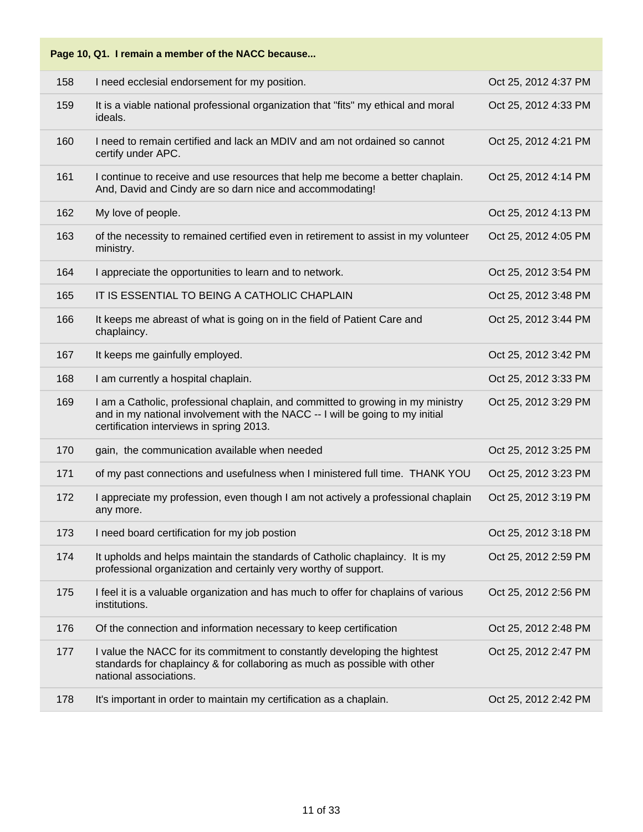| Page 10, Q1. I remain a member of the NACC because |                                                                                                                                                                                                              |                      |  |
|----------------------------------------------------|--------------------------------------------------------------------------------------------------------------------------------------------------------------------------------------------------------------|----------------------|--|
| 158                                                | I need ecclesial endorsement for my position.                                                                                                                                                                | Oct 25, 2012 4:37 PM |  |
| 159                                                | It is a viable national professional organization that "fits" my ethical and moral<br>ideals.                                                                                                                | Oct 25, 2012 4:33 PM |  |
| 160                                                | I need to remain certified and lack an MDIV and am not ordained so cannot<br>certify under APC.                                                                                                              | Oct 25, 2012 4:21 PM |  |
| 161                                                | I continue to receive and use resources that help me become a better chaplain.<br>And, David and Cindy are so darn nice and accommodating!                                                                   | Oct 25, 2012 4:14 PM |  |
| 162                                                | My love of people.                                                                                                                                                                                           | Oct 25, 2012 4:13 PM |  |
| 163                                                | of the necessity to remained certified even in retirement to assist in my volunteer<br>ministry.                                                                                                             | Oct 25, 2012 4:05 PM |  |
| 164                                                | I appreciate the opportunities to learn and to network.                                                                                                                                                      | Oct 25, 2012 3:54 PM |  |
| 165                                                | IT IS ESSENTIAL TO BEING A CATHOLIC CHAPLAIN                                                                                                                                                                 | Oct 25, 2012 3:48 PM |  |
| 166                                                | It keeps me abreast of what is going on in the field of Patient Care and<br>chaplaincy.                                                                                                                      | Oct 25, 2012 3:44 PM |  |
| 167                                                | It keeps me gainfully employed.                                                                                                                                                                              | Oct 25, 2012 3:42 PM |  |
| 168                                                | I am currently a hospital chaplain.                                                                                                                                                                          | Oct 25, 2012 3:33 PM |  |
| 169                                                | I am a Catholic, professional chaplain, and committed to growing in my ministry<br>and in my national involvement with the NACC -- I will be going to my initial<br>certification interviews in spring 2013. | Oct 25, 2012 3:29 PM |  |
| 170                                                | gain, the communication available when needed                                                                                                                                                                | Oct 25, 2012 3:25 PM |  |
| 171                                                | of my past connections and usefulness when I ministered full time. THANK YOU                                                                                                                                 | Oct 25, 2012 3:23 PM |  |
| 172                                                | I appreciate my profession, even though I am not actively a professional chaplain<br>any more.                                                                                                               | Oct 25, 2012 3:19 PM |  |
| 173                                                | I need board certification for my job postion                                                                                                                                                                | Oct 25, 2012 3:18 PM |  |
| 174                                                | It upholds and helps maintain the standards of Catholic chaplaincy. It is my<br>professional organization and certainly very worthy of support.                                                              | Oct 25, 2012 2:59 PM |  |
| 175                                                | I feel it is a valuable organization and has much to offer for chaplains of various<br>institutions.                                                                                                         | Oct 25, 2012 2:56 PM |  |
| 176                                                | Of the connection and information necessary to keep certification                                                                                                                                            | Oct 25, 2012 2:48 PM |  |
| 177                                                | I value the NACC for its commitment to constantly developing the hightest<br>standards for chaplaincy & for collaboring as much as possible with other<br>national associations.                             | Oct 25, 2012 2:47 PM |  |
| 178                                                | It's important in order to maintain my certification as a chaplain.                                                                                                                                          | Oct 25, 2012 2:42 PM |  |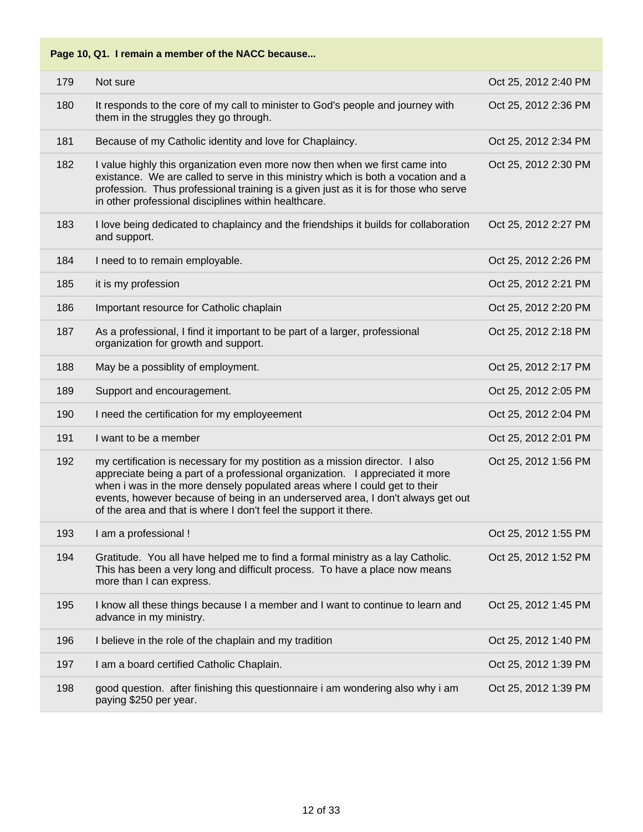| 179 | Not sure                                                                                                                                                                                                                                                                                                                                                                                          | Oct 25, 2012 2:40 PM |
|-----|---------------------------------------------------------------------------------------------------------------------------------------------------------------------------------------------------------------------------------------------------------------------------------------------------------------------------------------------------------------------------------------------------|----------------------|
| 180 | It responds to the core of my call to minister to God's people and journey with<br>them in the struggles they go through.                                                                                                                                                                                                                                                                         | Oct 25, 2012 2:36 PM |
| 181 | Because of my Catholic identity and love for Chaplaincy.                                                                                                                                                                                                                                                                                                                                          | Oct 25, 2012 2:34 PM |
| 182 | I value highly this organization even more now then when we first came into<br>existance. We are called to serve in this ministry which is both a vocation and a<br>profession. Thus professional training is a given just as it is for those who serve<br>in other professional disciplines within healthcare.                                                                                   | Oct 25, 2012 2:30 PM |
| 183 | I love being dedicated to chaplaincy and the friendships it builds for collaboration<br>and support.                                                                                                                                                                                                                                                                                              | Oct 25, 2012 2:27 PM |
| 184 | I need to to remain employable.                                                                                                                                                                                                                                                                                                                                                                   | Oct 25, 2012 2:26 PM |
| 185 | it is my profession                                                                                                                                                                                                                                                                                                                                                                               | Oct 25, 2012 2:21 PM |
| 186 | Important resource for Catholic chaplain                                                                                                                                                                                                                                                                                                                                                          | Oct 25, 2012 2:20 PM |
| 187 | As a professional, I find it important to be part of a larger, professional<br>organization for growth and support.                                                                                                                                                                                                                                                                               | Oct 25, 2012 2:18 PM |
| 188 | May be a possiblity of employment.                                                                                                                                                                                                                                                                                                                                                                | Oct 25, 2012 2:17 PM |
| 189 | Support and encouragement.                                                                                                                                                                                                                                                                                                                                                                        | Oct 25, 2012 2:05 PM |
| 190 | I need the certification for my employeement                                                                                                                                                                                                                                                                                                                                                      | Oct 25, 2012 2:04 PM |
| 191 | I want to be a member                                                                                                                                                                                                                                                                                                                                                                             | Oct 25, 2012 2:01 PM |
| 192 | my certification is necessary for my postition as a mission director. I also<br>appreciate being a part of a professional organization. I appreciated it more<br>when i was in the more densely populated areas where I could get to their<br>events, however because of being in an underserved area, I don't always get out<br>of the area and that is where I don't feel the support it there. | Oct 25, 2012 1:56 PM |
| 193 | I am a professional !                                                                                                                                                                                                                                                                                                                                                                             | Oct 25, 2012 1:55 PM |
| 194 | Gratitude. You all have helped me to find a formal ministry as a lay Catholic.<br>This has been a very long and difficult process. To have a place now means<br>more than I can express.                                                                                                                                                                                                          | Oct 25, 2012 1:52 PM |
| 195 | I know all these things because I a member and I want to continue to learn and<br>advance in my ministry.                                                                                                                                                                                                                                                                                         | Oct 25, 2012 1:45 PM |
| 196 | I believe in the role of the chaplain and my tradition                                                                                                                                                                                                                                                                                                                                            | Oct 25, 2012 1:40 PM |
| 197 | I am a board certified Catholic Chaplain.                                                                                                                                                                                                                                                                                                                                                         | Oct 25, 2012 1:39 PM |
| 198 | good question. after finishing this questionnaire i am wondering also why i am<br>paying \$250 per year.                                                                                                                                                                                                                                                                                          | Oct 25, 2012 1:39 PM |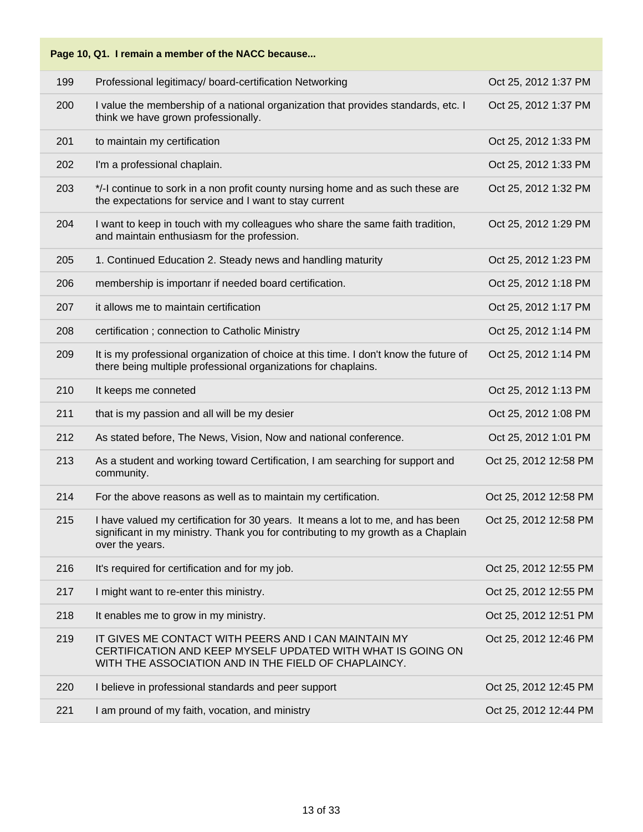| Page 10, Q1. I remain a member of the NACC because |                                                                                                                                                                                         |                       |  |
|----------------------------------------------------|-----------------------------------------------------------------------------------------------------------------------------------------------------------------------------------------|-----------------------|--|
| 199                                                | Professional legitimacy/ board-certification Networking                                                                                                                                 | Oct 25, 2012 1:37 PM  |  |
| 200                                                | I value the membership of a national organization that provides standards, etc. I<br>think we have grown professionally.                                                                | Oct 25, 2012 1:37 PM  |  |
| 201                                                | to maintain my certification                                                                                                                                                            | Oct 25, 2012 1:33 PM  |  |
| 202                                                | I'm a professional chaplain.                                                                                                                                                            | Oct 25, 2012 1:33 PM  |  |
| 203                                                | */-I continue to sork in a non profit county nursing home and as such these are<br>the expectations for service and I want to stay current                                              | Oct 25, 2012 1:32 PM  |  |
| 204                                                | I want to keep in touch with my colleagues who share the same faith tradition,<br>and maintain enthusiasm for the profession.                                                           | Oct 25, 2012 1:29 PM  |  |
| 205                                                | 1. Continued Education 2. Steady news and handling maturity                                                                                                                             | Oct 25, 2012 1:23 PM  |  |
| 206                                                | membership is importanr if needed board certification.                                                                                                                                  | Oct 25, 2012 1:18 PM  |  |
| 207                                                | it allows me to maintain certification                                                                                                                                                  | Oct 25, 2012 1:17 PM  |  |
| 208                                                | certification; connection to Catholic Ministry                                                                                                                                          | Oct 25, 2012 1:14 PM  |  |
| 209                                                | It is my professional organization of choice at this time. I don't know the future of<br>there being multiple professional organizations for chaplains.                                 | Oct 25, 2012 1:14 PM  |  |
| 210                                                | It keeps me conneted                                                                                                                                                                    | Oct 25, 2012 1:13 PM  |  |
| 211                                                | that is my passion and all will be my desier                                                                                                                                            | Oct 25, 2012 1:08 PM  |  |
| 212                                                | As stated before, The News, Vision, Now and national conference.                                                                                                                        | Oct 25, 2012 1:01 PM  |  |
| 213                                                | As a student and working toward Certification, I am searching for support and<br>community.                                                                                             | Oct 25, 2012 12:58 PM |  |
| 214                                                | For the above reasons as well as to maintain my certification.                                                                                                                          | Oct 25, 2012 12:58 PM |  |
| 215                                                | I have valued my certification for 30 years. It means a lot to me, and has been<br>significant in my ministry. Thank you for contributing to my growth as a Chaplain<br>over the years. | Oct 25, 2012 12:58 PM |  |
| 216                                                | It's required for certification and for my job.                                                                                                                                         | Oct 25, 2012 12:55 PM |  |
| 217                                                | I might want to re-enter this ministry.                                                                                                                                                 | Oct 25, 2012 12:55 PM |  |
| 218                                                | It enables me to grow in my ministry.                                                                                                                                                   | Oct 25, 2012 12:51 PM |  |
| 219                                                | IT GIVES ME CONTACT WITH PEERS AND I CAN MAINTAIN MY<br>CERTIFICATION AND KEEP MYSELF UPDATED WITH WHAT IS GOING ON<br>WITH THE ASSOCIATION AND IN THE FIELD OF CHAPLAINCY.             | Oct 25, 2012 12:46 PM |  |
| 220                                                | I believe in professional standards and peer support                                                                                                                                    | Oct 25, 2012 12:45 PM |  |
| 221                                                | I am pround of my faith, vocation, and ministry                                                                                                                                         | Oct 25, 2012 12:44 PM |  |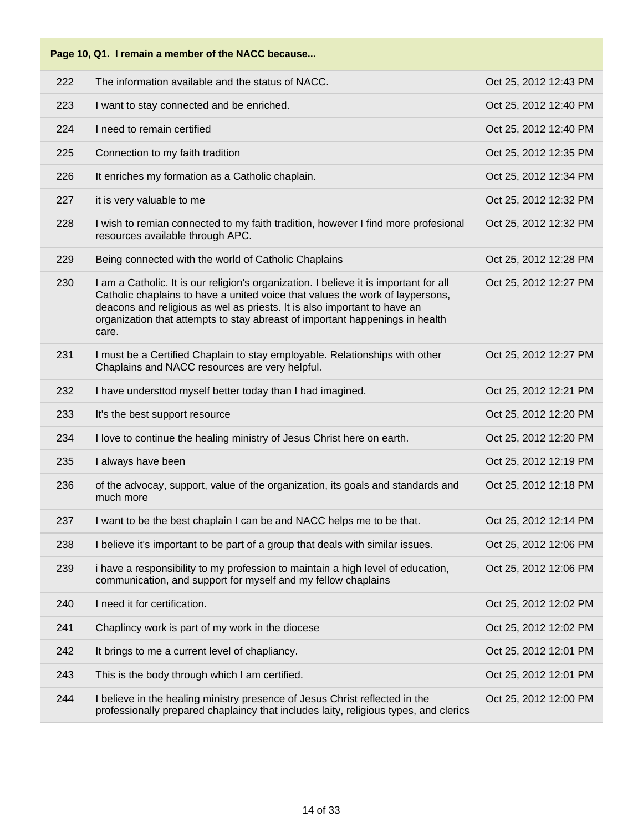| 222 | The information available and the status of NACC.                                                                                                                                                                                                                                                                                           | Oct 25, 2012 12:43 PM |
|-----|---------------------------------------------------------------------------------------------------------------------------------------------------------------------------------------------------------------------------------------------------------------------------------------------------------------------------------------------|-----------------------|
| 223 | I want to stay connected and be enriched.                                                                                                                                                                                                                                                                                                   | Oct 25, 2012 12:40 PM |
| 224 | I need to remain certified                                                                                                                                                                                                                                                                                                                  | Oct 25, 2012 12:40 PM |
| 225 | Connection to my faith tradition                                                                                                                                                                                                                                                                                                            | Oct 25, 2012 12:35 PM |
| 226 | It enriches my formation as a Catholic chaplain.                                                                                                                                                                                                                                                                                            | Oct 25, 2012 12:34 PM |
| 227 | it is very valuable to me                                                                                                                                                                                                                                                                                                                   | Oct 25, 2012 12:32 PM |
| 228 | I wish to remian connected to my faith tradition, however I find more profesional<br>resources available through APC.                                                                                                                                                                                                                       | Oct 25, 2012 12:32 PM |
| 229 | Being connected with the world of Catholic Chaplains                                                                                                                                                                                                                                                                                        | Oct 25, 2012 12:28 PM |
| 230 | I am a Catholic. It is our religion's organization. I believe it is important for all<br>Catholic chaplains to have a united voice that values the work of laypersons,<br>deacons and religious as wel as priests. It is also important to have an<br>organization that attempts to stay abreast of important happenings in health<br>care. | Oct 25, 2012 12:27 PM |
| 231 | I must be a Certified Chaplain to stay employable. Relationships with other<br>Chaplains and NACC resources are very helpful.                                                                                                                                                                                                               | Oct 25, 2012 12:27 PM |
| 232 | I have understtod myself better today than I had imagined.                                                                                                                                                                                                                                                                                  | Oct 25, 2012 12:21 PM |
| 233 | It's the best support resource                                                                                                                                                                                                                                                                                                              | Oct 25, 2012 12:20 PM |
| 234 | I love to continue the healing ministry of Jesus Christ here on earth.                                                                                                                                                                                                                                                                      | Oct 25, 2012 12:20 PM |
| 235 | I always have been                                                                                                                                                                                                                                                                                                                          | Oct 25, 2012 12:19 PM |
| 236 | of the advocay, support, value of the organization, its goals and standards and<br>much more                                                                                                                                                                                                                                                | Oct 25, 2012 12:18 PM |
| 237 | I want to be the best chaplain I can be and NACC helps me to be that.                                                                                                                                                                                                                                                                       | Oct 25, 2012 12:14 PM |
| 238 | I believe it's important to be part of a group that deals with similar issues.                                                                                                                                                                                                                                                              | Oct 25, 2012 12:06 PM |
| 239 | i have a responsibility to my profession to maintain a high level of education,<br>communication, and support for myself and my fellow chaplains                                                                                                                                                                                            | Oct 25, 2012 12:06 PM |
| 240 | I need it for certification.                                                                                                                                                                                                                                                                                                                | Oct 25, 2012 12:02 PM |
| 241 | Chaplincy work is part of my work in the diocese                                                                                                                                                                                                                                                                                            | Oct 25, 2012 12:02 PM |
| 242 | It brings to me a current level of chapliancy.                                                                                                                                                                                                                                                                                              | Oct 25, 2012 12:01 PM |
| 243 | This is the body through which I am certified.                                                                                                                                                                                                                                                                                              | Oct 25, 2012 12:01 PM |
| 244 | I believe in the healing ministry presence of Jesus Christ reflected in the<br>professionally prepared chaplaincy that includes laity, religious types, and clerics                                                                                                                                                                         | Oct 25, 2012 12:00 PM |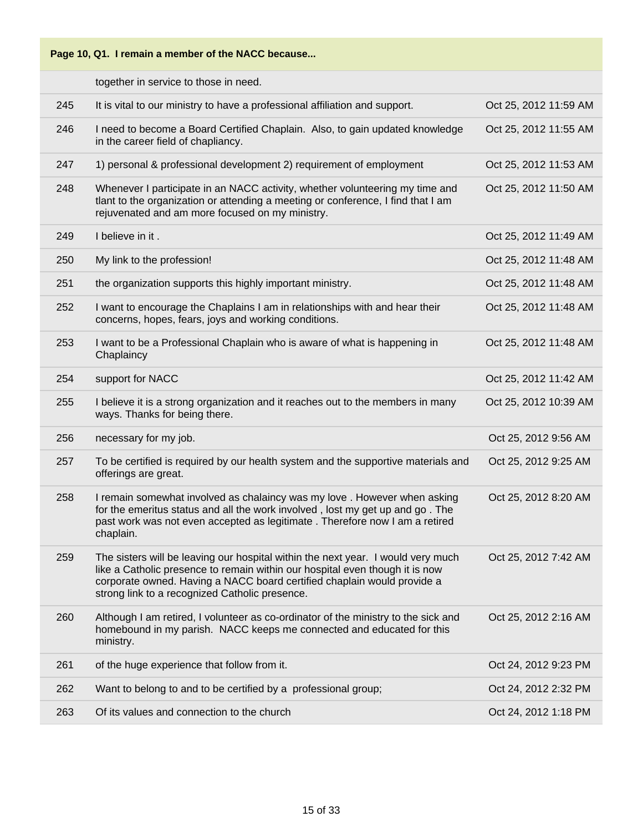

together in service to those in need.

| 245 | It is vital to our ministry to have a professional affiliation and support.                                                                                                                                                                                                                   | Oct 25, 2012 11:59 AM |
|-----|-----------------------------------------------------------------------------------------------------------------------------------------------------------------------------------------------------------------------------------------------------------------------------------------------|-----------------------|
| 246 | I need to become a Board Certified Chaplain. Also, to gain updated knowledge<br>in the career field of chapliancy.                                                                                                                                                                            | Oct 25, 2012 11:55 AM |
| 247 | 1) personal & professional development 2) requirement of employment                                                                                                                                                                                                                           | Oct 25, 2012 11:53 AM |
| 248 | Whenever I participate in an NACC activity, whether volunteering my time and<br>tlant to the organization or attending a meeting or conference, I find that I am<br>rejuvenated and am more focused on my ministry.                                                                           | Oct 25, 2012 11:50 AM |
| 249 | I believe in it.                                                                                                                                                                                                                                                                              | Oct 25, 2012 11:49 AM |
| 250 | My link to the profession!                                                                                                                                                                                                                                                                    | Oct 25, 2012 11:48 AM |
| 251 | the organization supports this highly important ministry.                                                                                                                                                                                                                                     | Oct 25, 2012 11:48 AM |
| 252 | I want to encourage the Chaplains I am in relationships with and hear their<br>concerns, hopes, fears, joys and working conditions.                                                                                                                                                           | Oct 25, 2012 11:48 AM |
| 253 | I want to be a Professional Chaplain who is aware of what is happening in<br>Chaplaincy                                                                                                                                                                                                       | Oct 25, 2012 11:48 AM |
| 254 | support for NACC                                                                                                                                                                                                                                                                              | Oct 25, 2012 11:42 AM |
| 255 | I believe it is a strong organization and it reaches out to the members in many<br>ways. Thanks for being there.                                                                                                                                                                              | Oct 25, 2012 10:39 AM |
| 256 | necessary for my job.                                                                                                                                                                                                                                                                         | Oct 25, 2012 9:56 AM  |
| 257 | To be certified is required by our health system and the supportive materials and<br>offerings are great.                                                                                                                                                                                     | Oct 25, 2012 9:25 AM  |
| 258 | I remain somewhat involved as chalaincy was my love. However when asking<br>for the emeritus status and all the work involved, lost my get up and go. The<br>past work was not even accepted as legitimate. Therefore now I am a retired<br>chaplain.                                         | Oct 25, 2012 8:20 AM  |
| 259 | The sisters will be leaving our hospital within the next year. I would very much<br>like a Catholic presence to remain within our hospital even though it is now<br>corporate owned. Having a NACC board certified chaplain would provide a<br>strong link to a recognized Catholic presence. | Oct 25, 2012 7:42 AM  |
| 260 | Although I am retired, I volunteer as co-ordinator of the ministry to the sick and<br>homebound in my parish. NACC keeps me connected and educated for this<br>ministry.                                                                                                                      | Oct 25, 2012 2:16 AM  |
| 261 | of the huge experience that follow from it.                                                                                                                                                                                                                                                   | Oct 24, 2012 9:23 PM  |
| 262 | Want to belong to and to be certified by a professional group;                                                                                                                                                                                                                                | Oct 24, 2012 2:32 PM  |
| 263 | Of its values and connection to the church                                                                                                                                                                                                                                                    | Oct 24, 2012 1:18 PM  |
|     |                                                                                                                                                                                                                                                                                               |                       |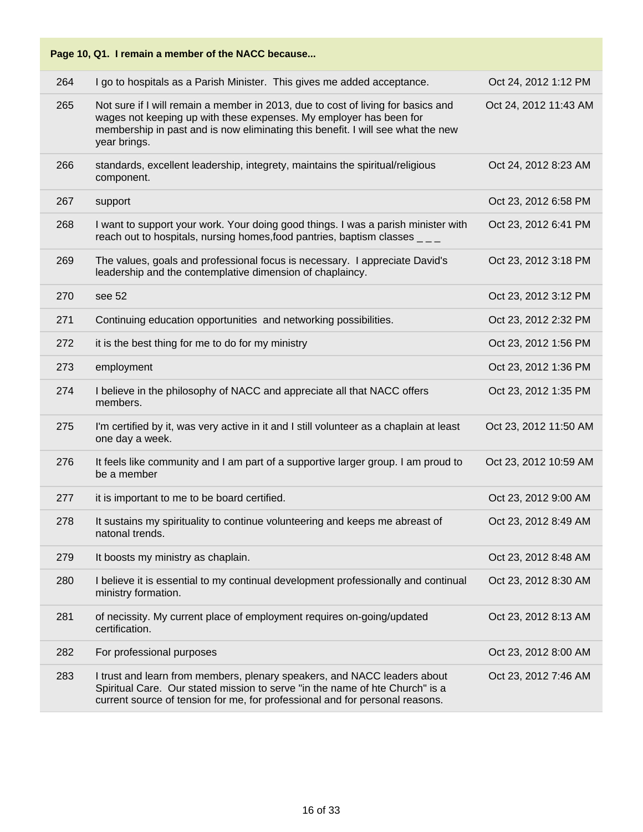| Page 10, Q1. I remain a member of the NACC because |                                                                                                                                                                                                                                                           |                       |  |
|----------------------------------------------------|-----------------------------------------------------------------------------------------------------------------------------------------------------------------------------------------------------------------------------------------------------------|-----------------------|--|
| 264                                                | I go to hospitals as a Parish Minister. This gives me added acceptance.                                                                                                                                                                                   | Oct 24, 2012 1:12 PM  |  |
| 265                                                | Not sure if I will remain a member in 2013, due to cost of living for basics and<br>wages not keeping up with these expenses. My employer has been for<br>membership in past and is now eliminating this benefit. I will see what the new<br>year brings. | Oct 24, 2012 11:43 AM |  |
| 266                                                | standards, excellent leadership, integrety, maintains the spiritual/religious<br>component.                                                                                                                                                               | Oct 24, 2012 8:23 AM  |  |
| 267                                                | support                                                                                                                                                                                                                                                   | Oct 23, 2012 6:58 PM  |  |
| 268                                                | I want to support your work. Your doing good things. I was a parish minister with<br>reach out to hospitals, nursing homes, food pantries, baptism classes $\overline{\phantom{a}}$                                                                       | Oct 23, 2012 6:41 PM  |  |
| 269                                                | The values, goals and professional focus is necessary. I appreciate David's<br>leadership and the contemplative dimension of chaplaincy.                                                                                                                  | Oct 23, 2012 3:18 PM  |  |
| 270                                                | see 52                                                                                                                                                                                                                                                    | Oct 23, 2012 3:12 PM  |  |
| 271                                                | Continuing education opportunities and networking possibilities.                                                                                                                                                                                          | Oct 23, 2012 2:32 PM  |  |
| 272                                                | it is the best thing for me to do for my ministry                                                                                                                                                                                                         | Oct 23, 2012 1:56 PM  |  |
| 273                                                | employment                                                                                                                                                                                                                                                | Oct 23, 2012 1:36 PM  |  |
| 274                                                | I believe in the philosophy of NACC and appreciate all that NACC offers<br>members.                                                                                                                                                                       | Oct 23, 2012 1:35 PM  |  |
| 275                                                | I'm certified by it, was very active in it and I still volunteer as a chaplain at least<br>one day a week.                                                                                                                                                | Oct 23, 2012 11:50 AM |  |
| 276                                                | It feels like community and I am part of a supportive larger group. I am proud to<br>be a member                                                                                                                                                          | Oct 23, 2012 10:59 AM |  |
| 277                                                | it is important to me to be board certified.                                                                                                                                                                                                              | Oct 23, 2012 9:00 AM  |  |
| 278                                                | It sustains my spirituality to continue volunteering and keeps me abreast of<br>natonal trends.                                                                                                                                                           | Oct 23, 2012 8:49 AM  |  |
| 279                                                | It boosts my ministry as chaplain.                                                                                                                                                                                                                        | Oct 23, 2012 8:48 AM  |  |
| 280                                                | I believe it is essential to my continual development professionally and continual<br>ministry formation.                                                                                                                                                 | Oct 23, 2012 8:30 AM  |  |
| 281                                                | of necissity. My current place of employment requires on-going/updated<br>certification.                                                                                                                                                                  | Oct 23, 2012 8:13 AM  |  |
| 282                                                | For professional purposes                                                                                                                                                                                                                                 | Oct 23, 2012 8:00 AM  |  |
| 283                                                | I trust and learn from members, plenary speakers, and NACC leaders about<br>Spiritual Care. Our stated mission to serve "in the name of hte Church" is a<br>current source of tension for me, for professional and for personal reasons.                  | Oct 23, 2012 7:46 AM  |  |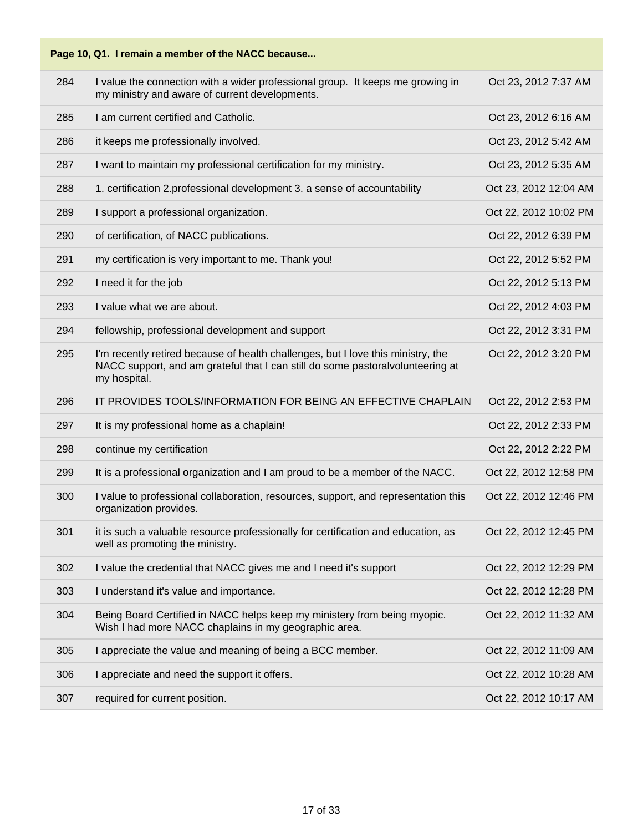

| 284 | I value the connection with a wider professional group. It keeps me growing in<br>my ministry and aware of current developments.                                                   | Oct 23, 2012 7:37 AM  |
|-----|------------------------------------------------------------------------------------------------------------------------------------------------------------------------------------|-----------------------|
| 285 | I am current certified and Catholic.                                                                                                                                               | Oct 23, 2012 6:16 AM  |
| 286 | it keeps me professionally involved.                                                                                                                                               | Oct 23, 2012 5:42 AM  |
| 287 | I want to maintain my professional certification for my ministry.                                                                                                                  | Oct 23, 2012 5:35 AM  |
| 288 | 1. certification 2.professional development 3. a sense of accountability                                                                                                           | Oct 23, 2012 12:04 AM |
| 289 | I support a professional organization.                                                                                                                                             | Oct 22, 2012 10:02 PM |
| 290 | of certification, of NACC publications.                                                                                                                                            | Oct 22, 2012 6:39 PM  |
| 291 | my certification is very important to me. Thank you!                                                                                                                               | Oct 22, 2012 5:52 PM  |
| 292 | I need it for the job                                                                                                                                                              | Oct 22, 2012 5:13 PM  |
| 293 | I value what we are about.                                                                                                                                                         | Oct 22, 2012 4:03 PM  |
| 294 | fellowship, professional development and support                                                                                                                                   | Oct 22, 2012 3:31 PM  |
| 295 | I'm recently retired because of health challenges, but I love this ministry, the<br>NACC support, and am grateful that I can still do some pastoralvolunteering at<br>my hospital. | Oct 22, 2012 3:20 PM  |
| 296 | IT PROVIDES TOOLS/INFORMATION FOR BEING AN EFFECTIVE CHAPLAIN                                                                                                                      | Oct 22, 2012 2:53 PM  |
| 297 | It is my professional home as a chaplain!                                                                                                                                          | Oct 22, 2012 2:33 PM  |
| 298 | continue my certification                                                                                                                                                          | Oct 22, 2012 2:22 PM  |
| 299 |                                                                                                                                                                                    |                       |
|     | It is a professional organization and I am proud to be a member of the NACC.                                                                                                       | Oct 22, 2012 12:58 PM |
| 300 | I value to professional collaboration, resources, support, and representation this<br>organization provides.                                                                       | Oct 22, 2012 12:46 PM |
| 301 | it is such a valuable resource professionally for certification and education, as<br>well as promoting the ministry.                                                               | Oct 22, 2012 12:45 PM |
| 302 | I value the credential that NACC gives me and I need it's support                                                                                                                  | Oct 22, 2012 12:29 PM |
| 303 | I understand it's value and importance.                                                                                                                                            | Oct 22, 2012 12:28 PM |
| 304 | Being Board Certified in NACC helps keep my ministery from being myopic.<br>Wish I had more NACC chaplains in my geographic area.                                                  | Oct 22, 2012 11:32 AM |
| 305 | I appreciate the value and meaning of being a BCC member.                                                                                                                          | Oct 22, 2012 11:09 AM |
| 306 | I appreciate and need the support it offers.                                                                                                                                       | Oct 22, 2012 10:28 AM |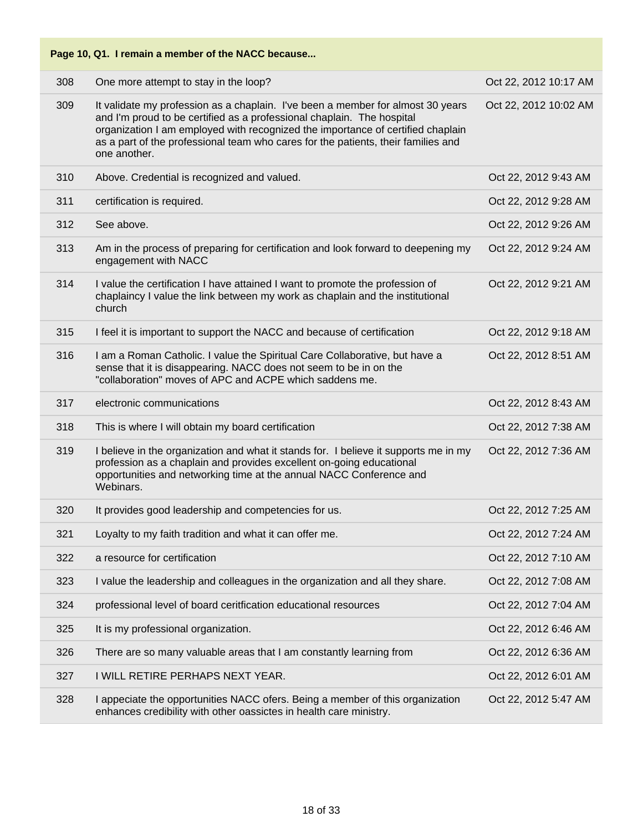| Page 10, Q1. I remain a member of the NACC because |                                                                                                                                                                                                                                                                                                                                                   |                       |
|----------------------------------------------------|---------------------------------------------------------------------------------------------------------------------------------------------------------------------------------------------------------------------------------------------------------------------------------------------------------------------------------------------------|-----------------------|
| 308                                                | One more attempt to stay in the loop?                                                                                                                                                                                                                                                                                                             | Oct 22, 2012 10:17 AM |
| 309                                                | It validate my profession as a chaplain. I've been a member for almost 30 years<br>and I'm proud to be certified as a professional chaplain. The hospital<br>organization I am employed with recognized the importance of certified chaplain<br>as a part of the professional team who cares for the patients, their families and<br>one another. | Oct 22, 2012 10:02 AM |
| 310                                                | Above. Credential is recognized and valued.                                                                                                                                                                                                                                                                                                       | Oct 22, 2012 9:43 AM  |
| 311                                                | certification is required.                                                                                                                                                                                                                                                                                                                        | Oct 22, 2012 9:28 AM  |
| 312                                                | See above.                                                                                                                                                                                                                                                                                                                                        | Oct 22, 2012 9:26 AM  |
| 313                                                | Am in the process of preparing for certification and look forward to deepening my<br>engagement with NACC                                                                                                                                                                                                                                         | Oct 22, 2012 9:24 AM  |
| 314                                                | I value the certification I have attained I want to promote the profession of<br>chaplaincy I value the link between my work as chaplain and the institutional<br>church                                                                                                                                                                          | Oct 22, 2012 9:21 AM  |
| 315                                                | I feel it is important to support the NACC and because of certification                                                                                                                                                                                                                                                                           | Oct 22, 2012 9:18 AM  |
| 316                                                | I am a Roman Catholic. I value the Spiritual Care Collaborative, but have a<br>sense that it is disappearing. NACC does not seem to be in on the<br>"collaboration" moves of APC and ACPE which saddens me.                                                                                                                                       | Oct 22, 2012 8:51 AM  |
| 317                                                | electronic communications                                                                                                                                                                                                                                                                                                                         | Oct 22, 2012 8:43 AM  |
| 318                                                | This is where I will obtain my board certification                                                                                                                                                                                                                                                                                                | Oct 22, 2012 7:38 AM  |
| 319                                                | I believe in the organization and what it stands for. I believe it supports me in my<br>profession as a chaplain and provides excellent on-going educational<br>opportunities and networking time at the annual NACC Conference and<br>Webinars.                                                                                                  | Oct 22, 2012 7:36 AM  |
| 320                                                | It provides good leadership and competencies for us.                                                                                                                                                                                                                                                                                              | Oct 22, 2012 7:25 AM  |
| 321                                                | Loyalty to my faith tradition and what it can offer me.                                                                                                                                                                                                                                                                                           | Oct 22, 2012 7:24 AM  |
| 322                                                | a resource for certification                                                                                                                                                                                                                                                                                                                      | Oct 22, 2012 7:10 AM  |
| 323                                                | I value the leadership and colleagues in the organization and all they share.                                                                                                                                                                                                                                                                     | Oct 22, 2012 7:08 AM  |
| 324                                                | professional level of board ceritfication educational resources                                                                                                                                                                                                                                                                                   | Oct 22, 2012 7:04 AM  |
| 325                                                | It is my professional organization.                                                                                                                                                                                                                                                                                                               | Oct 22, 2012 6:46 AM  |
| 326                                                | There are so many valuable areas that I am constantly learning from                                                                                                                                                                                                                                                                               | Oct 22, 2012 6:36 AM  |
| 327                                                | I WILL RETIRE PERHAPS NEXT YEAR.                                                                                                                                                                                                                                                                                                                  | Oct 22, 2012 6:01 AM  |
| 328                                                | I appeciate the opportunities NACC ofers. Being a member of this organization<br>enhances credibility with other oassictes in health care ministry.                                                                                                                                                                                               | Oct 22, 2012 5:47 AM  |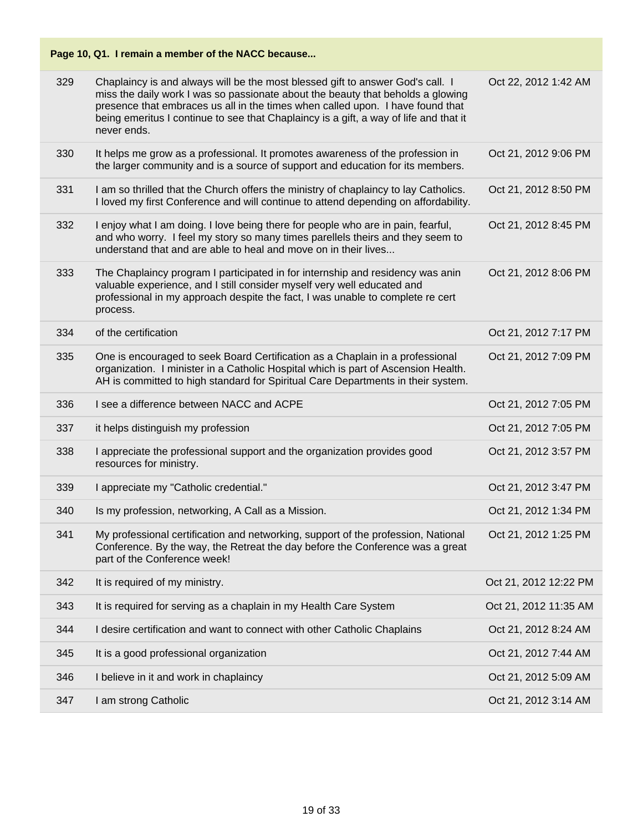## **Page 10, Q1. I remain a member of the NACC because...** 329 Chaplaincy is and always will be the most blessed gift to answer God's call. I miss the daily work I was so passionate about the beauty that beholds a glowing presence that embraces us all in the times when called upon. I have found that being emeritus I continue to see that Chaplaincy is a gift, a way of life and that it never ends. Oct 22, 2012 1:42 AM 330 It helps me grow as a professional. It promotes awareness of the profession in the larger community and is a source of support and education for its members. Oct 21, 2012 9:06 PM 331 I am so thrilled that the Church offers the ministry of chaplaincy to lay Catholics. I loved my first Conference and will continue to attend depending on affordability. Oct 21, 2012 8:50 PM 332 I enjoy what I am doing. I love being there for people who are in pain, fearful, and who worry. I feel my story so many times parellels theirs and they seem to understand that and are able to heal and move on in their lives... Oct 21, 2012 8:45 PM 333 The Chaplaincy program I participated in for internship and residency was anin valuable experience, and I still consider myself very well educated and professional in my approach despite the fact, I was unable to complete re cert process. Oct 21, 2012 8:06 PM 334 of the certification Oct 21, 2012 7:17 PM 335 One is encouraged to seek Board Certification as a Chaplain in a professional organization. I minister in a Catholic Hospital which is part of Ascension Health. AH is committed to high standard for Spiritual Care Departments in their system. Oct 21, 2012 7:09 PM 336 I see a difference between NACC and ACPE **Oct 21, 2012 7:05 PM** 337 it helps distinguish my profession **Community 100 and 21 and 2012 7:05 PM** 338 I appreciate the professional support and the organization provides good resources for ministry. Oct 21, 2012 3:57 PM 339 I appreciate my "Catholic credential." Oct 21, 2012 3:47 PM 340 Is my profession, networking, A Call as a Mission. Oct 21, 2012 1:34 PM 341 My professional certification and networking, support of the profession, National Conference. By the way, the Retreat the day before the Conference was a great part of the Conference week! Oct 21, 2012 1:25 PM 342 It is required of my ministry. The contract of the contract of the contract of the contract of the contract of the contract of the contract of the contract of the contract of the contract of the contract of the contrac 343 It is required for serving as a chaplain in my Health Care System **Oct 21, 2012 11:35 AM** 344 I desire certification and want to connect with other Catholic Chaplains Oct 21, 2012 8:24 AM 345 It is a good professional organization **Container and Container Container Container Cont** 21, 2012 7:44 AM 346 I believe in it and work in chaplaincy **Oct 21, 2012 5:09 AM** 347 I am strong Catholic Oct 21, 2012 3:14 AM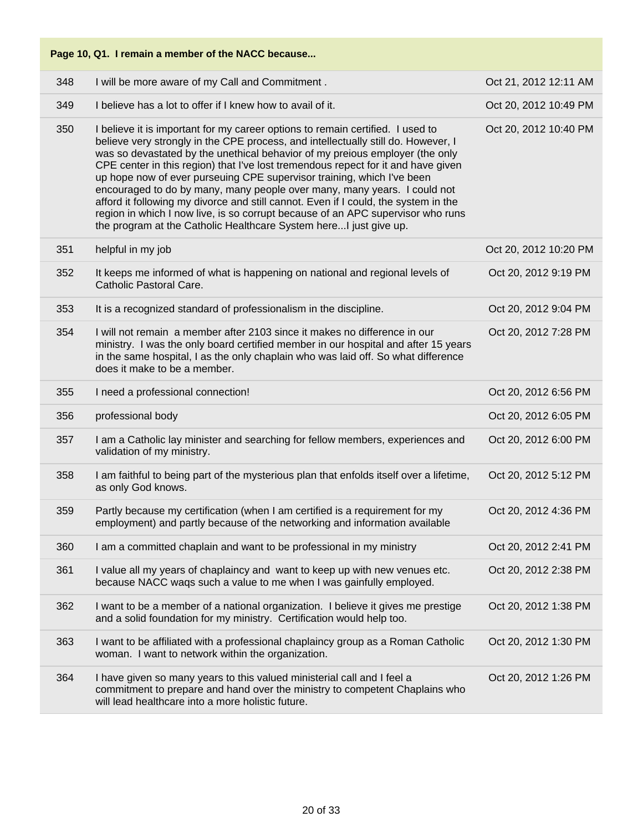|     | Page 10, Q1. I remain a member of the NACC because                                                                                                                                                                                                                                                                                                                                                                                                                                                                                                                                                                                                                                                                                             |                       |
|-----|------------------------------------------------------------------------------------------------------------------------------------------------------------------------------------------------------------------------------------------------------------------------------------------------------------------------------------------------------------------------------------------------------------------------------------------------------------------------------------------------------------------------------------------------------------------------------------------------------------------------------------------------------------------------------------------------------------------------------------------------|-----------------------|
| 348 | I will be more aware of my Call and Commitment.                                                                                                                                                                                                                                                                                                                                                                                                                                                                                                                                                                                                                                                                                                | Oct 21, 2012 12:11 AM |
| 349 | I believe has a lot to offer if I knew how to avail of it.                                                                                                                                                                                                                                                                                                                                                                                                                                                                                                                                                                                                                                                                                     | Oct 20, 2012 10:49 PM |
| 350 | I believe it is important for my career options to remain certified. I used to<br>believe very strongly in the CPE process, and intellectually still do. However, I<br>was so devastated by the unethical behavior of my preious employer (the only<br>CPE center in this region) that I've lost tremendous repect for it and have given<br>up hope now of ever purseuing CPE supervisor training, which I've been<br>encouraged to do by many, many people over many, many years. I could not<br>afford it following my divorce and still cannot. Even if I could, the system in the<br>region in which I now live, is so corrupt because of an APC supervisor who runs<br>the program at the Catholic Healthcare System here I just give up. | Oct 20, 2012 10:40 PM |
| 351 | helpful in my job                                                                                                                                                                                                                                                                                                                                                                                                                                                                                                                                                                                                                                                                                                                              | Oct 20, 2012 10:20 PM |
| 352 | It keeps me informed of what is happening on national and regional levels of<br>Catholic Pastoral Care.                                                                                                                                                                                                                                                                                                                                                                                                                                                                                                                                                                                                                                        | Oct 20, 2012 9:19 PM  |
| 353 | It is a recognized standard of professionalism in the discipline.                                                                                                                                                                                                                                                                                                                                                                                                                                                                                                                                                                                                                                                                              | Oct 20, 2012 9:04 PM  |
| 354 | I will not remain a member after 2103 since it makes no difference in our<br>ministry. I was the only board certified member in our hospital and after 15 years<br>in the same hospital, I as the only chaplain who was laid off. So what difference<br>does it make to be a member.                                                                                                                                                                                                                                                                                                                                                                                                                                                           | Oct 20, 2012 7:28 PM  |
| 355 | I need a professional connection!                                                                                                                                                                                                                                                                                                                                                                                                                                                                                                                                                                                                                                                                                                              | Oct 20, 2012 6:56 PM  |
| 356 | professional body                                                                                                                                                                                                                                                                                                                                                                                                                                                                                                                                                                                                                                                                                                                              | Oct 20, 2012 6:05 PM  |
| 357 | I am a Catholic lay minister and searching for fellow members, experiences and<br>validation of my ministry.                                                                                                                                                                                                                                                                                                                                                                                                                                                                                                                                                                                                                                   | Oct 20, 2012 6:00 PM  |
| 358 | I am faithful to being part of the mysterious plan that enfolds itself over a lifetime,<br>as only God knows.                                                                                                                                                                                                                                                                                                                                                                                                                                                                                                                                                                                                                                  | Oct 20, 2012 5:12 PM  |
| 359 | Partly because my certification (when I am certified is a requirement for my<br>employment) and partly because of the networking and information available                                                                                                                                                                                                                                                                                                                                                                                                                                                                                                                                                                                     | Oct 20, 2012 4:36 PM  |
| 360 | I am a committed chaplain and want to be professional in my ministry                                                                                                                                                                                                                                                                                                                                                                                                                                                                                                                                                                                                                                                                           | Oct 20, 2012 2:41 PM  |
| 361 | I value all my years of chaplaincy and want to keep up with new venues etc.<br>because NACC waqs such a value to me when I was gainfully employed.                                                                                                                                                                                                                                                                                                                                                                                                                                                                                                                                                                                             | Oct 20, 2012 2:38 PM  |
| 362 | I want to be a member of a national organization. I believe it gives me prestige<br>and a solid foundation for my ministry. Certification would help too.                                                                                                                                                                                                                                                                                                                                                                                                                                                                                                                                                                                      | Oct 20, 2012 1:38 PM  |
| 363 | I want to be affiliated with a professional chaplaincy group as a Roman Catholic<br>woman. I want to network within the organization.                                                                                                                                                                                                                                                                                                                                                                                                                                                                                                                                                                                                          | Oct 20, 2012 1:30 PM  |
| 364 | I have given so many years to this valued ministerial call and I feel a<br>commitment to prepare and hand over the ministry to competent Chaplains who<br>will lead healthcare into a more holistic future.                                                                                                                                                                                                                                                                                                                                                                                                                                                                                                                                    | Oct 20, 2012 1:26 PM  |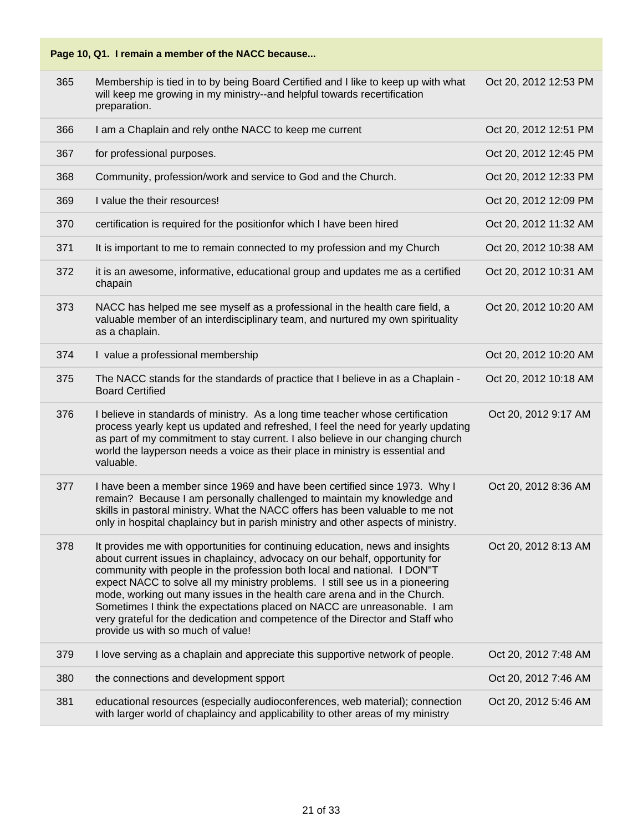| 365 | Membership is tied in to by being Board Certified and I like to keep up with what<br>will keep me growing in my ministry--and helpful towards recertification<br>preparation.                                                                                                                                                                                                                                                                                                                                                                                                                            | Oct 20, 2012 12:53 PM |
|-----|----------------------------------------------------------------------------------------------------------------------------------------------------------------------------------------------------------------------------------------------------------------------------------------------------------------------------------------------------------------------------------------------------------------------------------------------------------------------------------------------------------------------------------------------------------------------------------------------------------|-----------------------|
| 366 | I am a Chaplain and rely onthe NACC to keep me current                                                                                                                                                                                                                                                                                                                                                                                                                                                                                                                                                   | Oct 20, 2012 12:51 PM |
| 367 | for professional purposes.                                                                                                                                                                                                                                                                                                                                                                                                                                                                                                                                                                               | Oct 20, 2012 12:45 PM |
| 368 | Community, profession/work and service to God and the Church.                                                                                                                                                                                                                                                                                                                                                                                                                                                                                                                                            | Oct 20, 2012 12:33 PM |
| 369 | I value the their resources!                                                                                                                                                                                                                                                                                                                                                                                                                                                                                                                                                                             | Oct 20, 2012 12:09 PM |
| 370 | certification is required for the positionfor which I have been hired                                                                                                                                                                                                                                                                                                                                                                                                                                                                                                                                    | Oct 20, 2012 11:32 AM |
| 371 | It is important to me to remain connected to my profession and my Church                                                                                                                                                                                                                                                                                                                                                                                                                                                                                                                                 | Oct 20, 2012 10:38 AM |
| 372 | it is an awesome, informative, educational group and updates me as a certified<br>chapain                                                                                                                                                                                                                                                                                                                                                                                                                                                                                                                | Oct 20, 2012 10:31 AM |
| 373 | NACC has helped me see myself as a professional in the health care field, a<br>valuable member of an interdisciplinary team, and nurtured my own spirituality<br>as a chaplain.                                                                                                                                                                                                                                                                                                                                                                                                                          | Oct 20, 2012 10:20 AM |
| 374 | I value a professional membership                                                                                                                                                                                                                                                                                                                                                                                                                                                                                                                                                                        | Oct 20, 2012 10:20 AM |
| 375 | The NACC stands for the standards of practice that I believe in as a Chaplain -<br><b>Board Certified</b>                                                                                                                                                                                                                                                                                                                                                                                                                                                                                                | Oct 20, 2012 10:18 AM |
| 376 | I believe in standards of ministry. As a long time teacher whose certification<br>process yearly kept us updated and refreshed, I feel the need for yearly updating<br>as part of my commitment to stay current. I also believe in our changing church<br>world the layperson needs a voice as their place in ministry is essential and<br>valuable.                                                                                                                                                                                                                                                     | Oct 20, 2012 9:17 AM  |
| 377 | I have been a member since 1969 and have been certified since 1973. Why I<br>remain? Because I am personally challenged to maintain my knowledge and<br>skills in pastoral ministry. What the NACC offers has been valuable to me not<br>only in hospital chaplaincy but in parish ministry and other aspects of ministry.                                                                                                                                                                                                                                                                               | Oct 20, 2012 8:36 AM  |
| 378 | It provides me with opportunities for continuing education, news and insights<br>about current issues in chaplaincy, advocacy on our behalf, opportunity for<br>community with people in the profession both local and national. I DON"T<br>expect NACC to solve all my ministry problems. I still see us in a pioneering<br>mode, working out many issues in the health care arena and in the Church.<br>Sometimes I think the expectations placed on NACC are unreasonable. I am<br>very grateful for the dedication and competence of the Director and Staff who<br>provide us with so much of value! | Oct 20, 2012 8:13 AM  |
| 379 | I love serving as a chaplain and appreciate this supportive network of people.                                                                                                                                                                                                                                                                                                                                                                                                                                                                                                                           | Oct 20, 2012 7:48 AM  |
| 380 | the connections and development spport                                                                                                                                                                                                                                                                                                                                                                                                                                                                                                                                                                   | Oct 20, 2012 7:46 AM  |
| 381 | educational resources (especially audioconferences, web material); connection<br>with larger world of chaplaincy and applicability to other areas of my ministry                                                                                                                                                                                                                                                                                                                                                                                                                                         | Oct 20, 2012 5:46 AM  |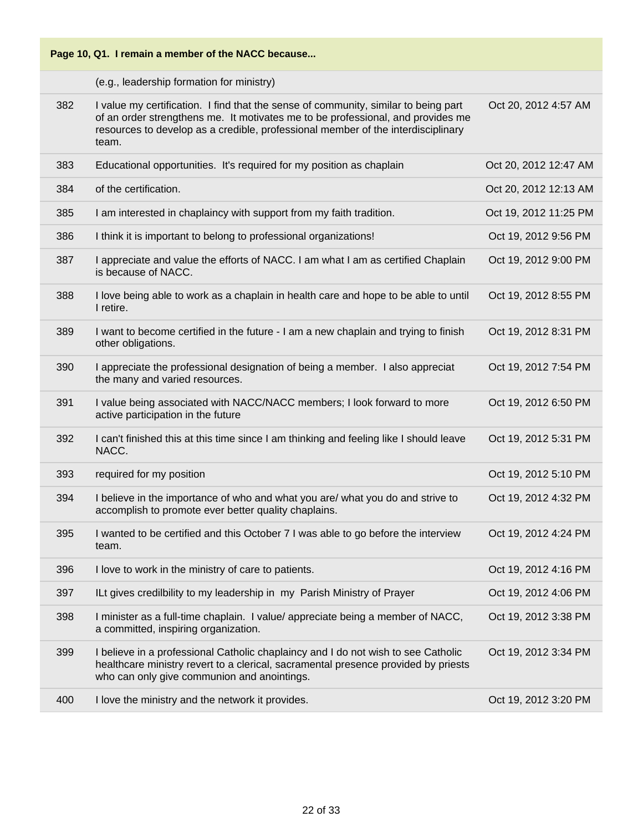(e.g., leadership formation for ministry)

| 382 | I value my certification. I find that the sense of community, similar to being part<br>of an order strengthens me. It motivates me to be professional, and provides me<br>resources to develop as a credible, professional member of the interdisciplinary<br>team. | Oct 20, 2012 4:57 AM  |
|-----|---------------------------------------------------------------------------------------------------------------------------------------------------------------------------------------------------------------------------------------------------------------------|-----------------------|
| 383 | Educational opportunities. It's required for my position as chaplain                                                                                                                                                                                                | Oct 20, 2012 12:47 AM |
| 384 | of the certification.                                                                                                                                                                                                                                               | Oct 20, 2012 12:13 AM |
| 385 | I am interested in chaplaincy with support from my faith tradition.                                                                                                                                                                                                 | Oct 19, 2012 11:25 PM |
| 386 | I think it is important to belong to professional organizations!                                                                                                                                                                                                    | Oct 19, 2012 9:56 PM  |
| 387 | I appreciate and value the efforts of NACC. I am what I am as certified Chaplain<br>is because of NACC.                                                                                                                                                             | Oct 19, 2012 9:00 PM  |
| 388 | I love being able to work as a chaplain in health care and hope to be able to until<br>I retire.                                                                                                                                                                    | Oct 19, 2012 8:55 PM  |
| 389 | I want to become certified in the future - I am a new chaplain and trying to finish<br>other obligations.                                                                                                                                                           | Oct 19, 2012 8:31 PM  |
| 390 | I appreciate the professional designation of being a member. I also appreciat<br>the many and varied resources.                                                                                                                                                     | Oct 19, 2012 7:54 PM  |
| 391 | I value being associated with NACC/NACC members; I look forward to more<br>active participation in the future                                                                                                                                                       | Oct 19, 2012 6:50 PM  |
| 392 | I can't finished this at this time since I am thinking and feeling like I should leave<br>NACC.                                                                                                                                                                     | Oct 19, 2012 5:31 PM  |
| 393 | required for my position                                                                                                                                                                                                                                            | Oct 19, 2012 5:10 PM  |
| 394 | I believe in the importance of who and what you are/ what you do and strive to<br>accomplish to promote ever better quality chaplains.                                                                                                                              | Oct 19, 2012 4:32 PM  |
| 395 | I wanted to be certified and this October 7 I was able to go before the interview<br>team.                                                                                                                                                                          | Oct 19, 2012 4:24 PM  |
| 396 | I love to work in the ministry of care to patients.                                                                                                                                                                                                                 | Oct 19, 2012 4:16 PM  |
| 397 | ILt gives credilbility to my leadership in my Parish Ministry of Prayer                                                                                                                                                                                             | Oct 19, 2012 4:06 PM  |
| 398 | I minister as a full-time chaplain. I value/ appreciate being a member of NACC,<br>a committed, inspiring organization.                                                                                                                                             | Oct 19, 2012 3:38 PM  |
| 399 | I believe in a professional Catholic chaplaincy and I do not wish to see Catholic<br>healthcare ministry revert to a clerical, sacramental presence provided by priests<br>who can only give communion and anointings.                                              | Oct 19, 2012 3:34 PM  |
| 400 | I love the ministry and the network it provides.                                                                                                                                                                                                                    | Oct 19, 2012 3:20 PM  |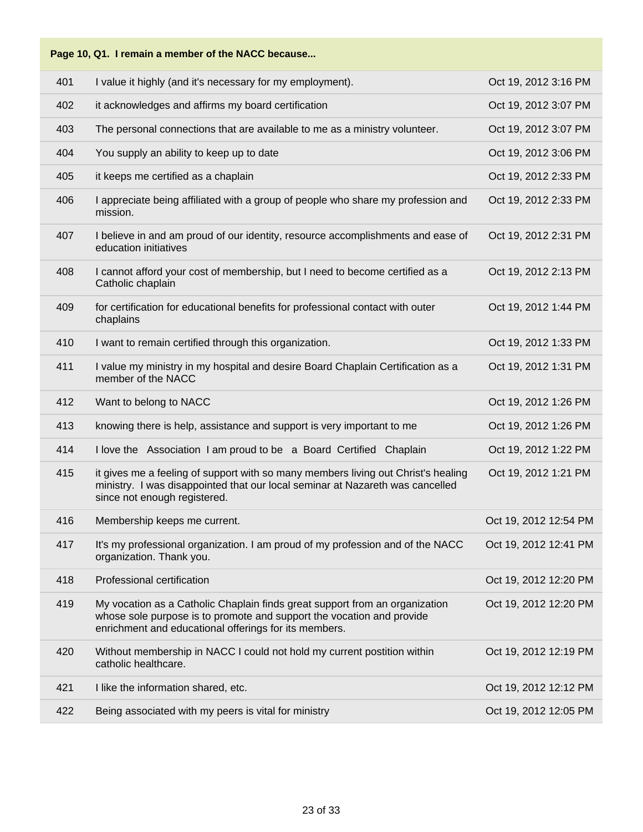# **Page 10, Q1. I remain a member of the NACC because...** 401 I value it highly (and it's necessary for my employment). Oct 19, 2012 3:16 PM 402 it acknowledges and affirms my board certification **COLOGY 19, 2012 3:07 PM** 403 The personal connections that are available to me as a ministry volunteer. Oct 19, 2012 3:07 PM 404 You supply an ability to keep up to date  $\overline{O}$  Oct 19, 2012 3:06 PM 405 it keeps me certified as a chaplain Oct 19, 2012 2:33 PM 406 I appreciate being affiliated with a group of people who share my profession and mission. Oct 19, 2012 2:33 PM 407 I believe in and am proud of our identity, resource accomplishments and ease of education initiatives Oct 19, 2012 2:31 PM 408 I cannot afford your cost of membership, but I need to become certified as a Catholic chaplain Oct 19, 2012 2:13 PM 409 for certification for educational benefits for professional contact with outer chaplains Oct 19, 2012 1:44 PM 410 I want to remain certified through this organization. The contract of the Cost 19, 2012 1:33 PM 411 I value my ministry in my hospital and desire Board Chaplain Certification as a member of the NACC Oct 19, 2012 1:31 PM 412 Want to belong to NACC Oct 19, 2012 1:26 PM 413 knowing there is help, assistance and support is very important to me Oct 19, 2012 1:26 PM 414 I love the Association I am proud to be a Board Certified Chaplain Oct 19, 2012 1:22 PM 415 it gives me a feeling of support with so many members living out Christ's healing ministry. I was disappointed that our local seminar at Nazareth was cancelled since not enough registered. Oct 19, 2012 1:21 PM 416 Membership keeps me current. Oct 19, 2012 12:54 PM 417 It's my professional organization. I am proud of my profession and of the NACC organization. Thank you. Oct 19, 2012 12:41 PM 418 Professional certification Oct 19, 2012 12:20 PM 419 My vocation as a Catholic Chaplain finds great support from an organization whose sole purpose is to promote and support the vocation and provide enrichment and educational offerings for its members. Oct 19, 2012 12:20 PM 420 Without membership in NACC I could not hold my current postition within catholic healthcare. Oct 19, 2012 12:19 PM 421 I like the information shared, etc. Oct 19, 2012 12:12 PM 422 Being associated with my peers is vital for ministry **Example 2012** 12:05 PM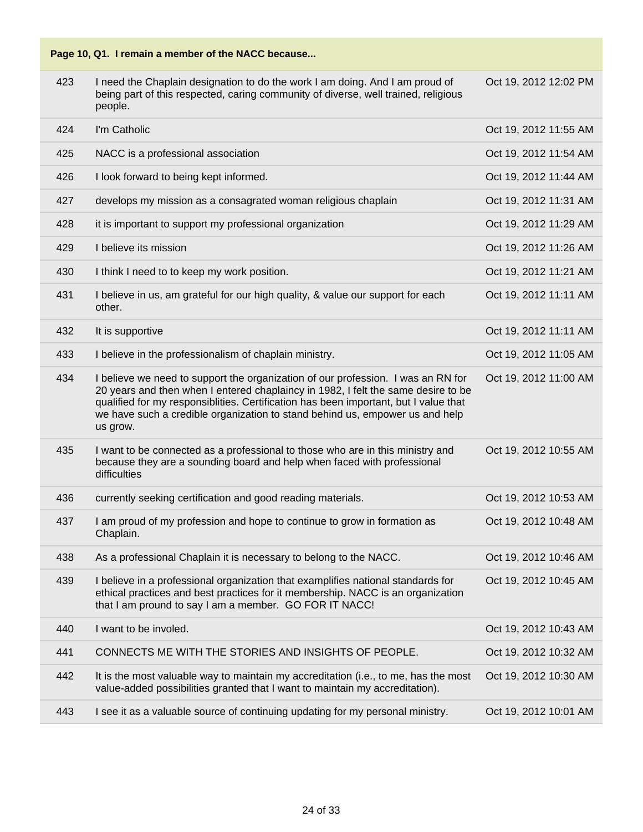| 423 | I need the Chaplain designation to do the work I am doing. And I am proud of<br>being part of this respected, caring community of diverse, well trained, religious<br>people.                                                                                                                                                                             | Oct 19, 2012 12:02 PM |
|-----|-----------------------------------------------------------------------------------------------------------------------------------------------------------------------------------------------------------------------------------------------------------------------------------------------------------------------------------------------------------|-----------------------|
| 424 | I'm Catholic                                                                                                                                                                                                                                                                                                                                              | Oct 19, 2012 11:55 AM |
| 425 | NACC is a professional association                                                                                                                                                                                                                                                                                                                        | Oct 19, 2012 11:54 AM |
| 426 | I look forward to being kept informed.                                                                                                                                                                                                                                                                                                                    | Oct 19, 2012 11:44 AM |
| 427 | develops my mission as a consagrated woman religious chaplain                                                                                                                                                                                                                                                                                             | Oct 19, 2012 11:31 AM |
| 428 | it is important to support my professional organization                                                                                                                                                                                                                                                                                                   | Oct 19, 2012 11:29 AM |
| 429 | I believe its mission                                                                                                                                                                                                                                                                                                                                     | Oct 19, 2012 11:26 AM |
| 430 | I think I need to to keep my work position.                                                                                                                                                                                                                                                                                                               | Oct 19, 2012 11:21 AM |
| 431 | I believe in us, am grateful for our high quality, & value our support for each<br>other.                                                                                                                                                                                                                                                                 | Oct 19, 2012 11:11 AM |
| 432 | It is supportive                                                                                                                                                                                                                                                                                                                                          | Oct 19, 2012 11:11 AM |
| 433 | I believe in the professionalism of chaplain ministry.                                                                                                                                                                                                                                                                                                    | Oct 19, 2012 11:05 AM |
| 434 | I believe we need to support the organization of our profession. I was an RN for<br>20 years and then when I entered chaplaincy in 1982, I felt the same desire to be<br>qualified for my responsiblities. Certification has been important, but I value that<br>we have such a credible organization to stand behind us, empower us and help<br>us grow. | Oct 19, 2012 11:00 AM |
| 435 | I want to be connected as a professional to those who are in this ministry and<br>because they are a sounding board and help when faced with professional<br>difficulties                                                                                                                                                                                 | Oct 19, 2012 10:55 AM |
| 436 | currently seeking certification and good reading materials.                                                                                                                                                                                                                                                                                               | Oct 19, 2012 10:53 AM |
| 437 | I am proud of my profession and hope to continue to grow in formation as<br>Chaplain.                                                                                                                                                                                                                                                                     | Oct 19, 2012 10:48 AM |
| 438 | As a professional Chaplain it is necessary to belong to the NACC.                                                                                                                                                                                                                                                                                         | Oct 19, 2012 10:46 AM |
| 439 | I believe in a professional organization that examplifies national standards for<br>ethical practices and best practices for it membership. NACC is an organization<br>that I am pround to say I am a member. GO FOR IT NACC!                                                                                                                             | Oct 19, 2012 10:45 AM |
| 440 | I want to be involed.                                                                                                                                                                                                                                                                                                                                     | Oct 19, 2012 10:43 AM |
| 441 | CONNECTS ME WITH THE STORIES AND INSIGHTS OF PEOPLE.                                                                                                                                                                                                                                                                                                      | Oct 19, 2012 10:32 AM |
| 442 | It is the most valuable way to maintain my accreditation (i.e., to me, has the most<br>value-added possibilities granted that I want to maintain my accreditation).                                                                                                                                                                                       | Oct 19, 2012 10:30 AM |
| 443 | I see it as a valuable source of continuing updating for my personal ministry.                                                                                                                                                                                                                                                                            | Oct 19, 2012 10:01 AM |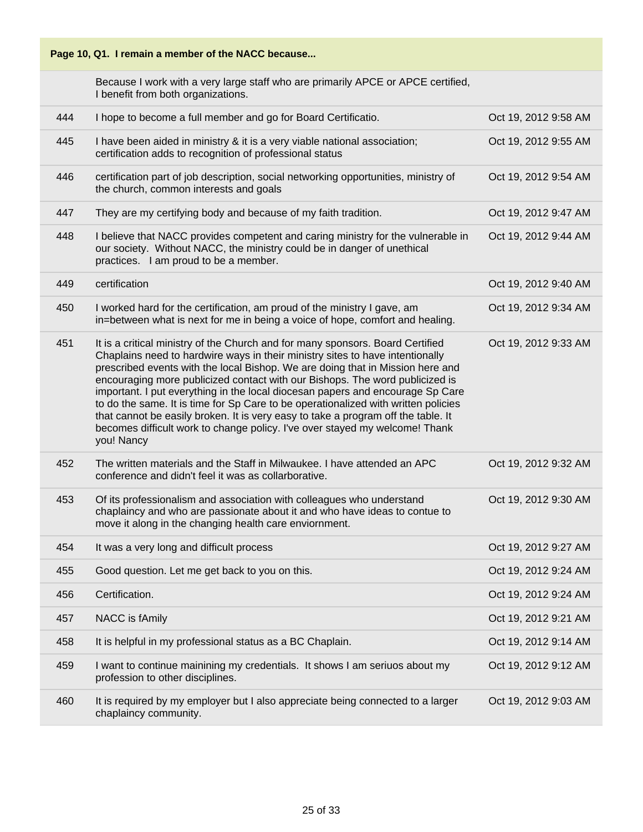

Because I work with a very large staff who are primarily APCE or APCE certified, I benefit from both organizations.

| 444 | I hope to become a full member and go for Board Certificatio.                                                                                                                                                                                                                                                                                                                                                                                                                                                                                                                                                                                                                               | Oct 19, 2012 9:58 AM |
|-----|---------------------------------------------------------------------------------------------------------------------------------------------------------------------------------------------------------------------------------------------------------------------------------------------------------------------------------------------------------------------------------------------------------------------------------------------------------------------------------------------------------------------------------------------------------------------------------------------------------------------------------------------------------------------------------------------|----------------------|
| 445 | I have been aided in ministry & it is a very viable national association;<br>certification adds to recognition of professional status                                                                                                                                                                                                                                                                                                                                                                                                                                                                                                                                                       | Oct 19, 2012 9:55 AM |
| 446 | certification part of job description, social networking opportunities, ministry of<br>the church, common interests and goals                                                                                                                                                                                                                                                                                                                                                                                                                                                                                                                                                               | Oct 19, 2012 9:54 AM |
| 447 | They are my certifying body and because of my faith tradition.                                                                                                                                                                                                                                                                                                                                                                                                                                                                                                                                                                                                                              | Oct 19, 2012 9:47 AM |
| 448 | I believe that NACC provides competent and caring ministry for the vulnerable in<br>our society. Without NACC, the ministry could be in danger of unethical<br>practices. I am proud to be a member.                                                                                                                                                                                                                                                                                                                                                                                                                                                                                        | Oct 19, 2012 9:44 AM |
| 449 | certification                                                                                                                                                                                                                                                                                                                                                                                                                                                                                                                                                                                                                                                                               | Oct 19, 2012 9:40 AM |
| 450 | I worked hard for the certification, am proud of the ministry I gave, am<br>in=between what is next for me in being a voice of hope, comfort and healing.                                                                                                                                                                                                                                                                                                                                                                                                                                                                                                                                   | Oct 19, 2012 9:34 AM |
| 451 | It is a critical ministry of the Church and for many sponsors. Board Certified<br>Chaplains need to hardwire ways in their ministry sites to have intentionally<br>prescribed events with the local Bishop. We are doing that in Mission here and<br>encouraging more publicized contact with our Bishops. The word publicized is<br>important. I put everything in the local diocesan papers and encourage Sp Care<br>to do the same. It is time for Sp Care to be operationalized with written policies<br>that cannot be easily broken. It is very easy to take a program off the table. It<br>becomes difficult work to change policy. I've over stayed my welcome! Thank<br>you! Nancy | Oct 19, 2012 9:33 AM |
| 452 | The written materials and the Staff in Milwaukee. I have attended an APC<br>conference and didn't feel it was as collarborative.                                                                                                                                                                                                                                                                                                                                                                                                                                                                                                                                                            | Oct 19, 2012 9:32 AM |
| 453 | Of its professionalism and association with colleagues who understand<br>chaplaincy and who are passionate about it and who have ideas to contue to<br>move it along in the changing health care enviornment.                                                                                                                                                                                                                                                                                                                                                                                                                                                                               | Oct 19, 2012 9:30 AM |
| 454 | It was a very long and difficult process                                                                                                                                                                                                                                                                                                                                                                                                                                                                                                                                                                                                                                                    | Oct 19, 2012 9:27 AM |
| 455 | Good question. Let me get back to you on this.                                                                                                                                                                                                                                                                                                                                                                                                                                                                                                                                                                                                                                              | Oct 19, 2012 9:24 AM |
| 456 | Certification.                                                                                                                                                                                                                                                                                                                                                                                                                                                                                                                                                                                                                                                                              | Oct 19, 2012 9:24 AM |
| 457 | NACC is fAmily                                                                                                                                                                                                                                                                                                                                                                                                                                                                                                                                                                                                                                                                              | Oct 19, 2012 9:21 AM |
| 458 | It is helpful in my professional status as a BC Chaplain.                                                                                                                                                                                                                                                                                                                                                                                                                                                                                                                                                                                                                                   | Oct 19, 2012 9:14 AM |
| 459 | I want to continue mainining my credentials. It shows I am seriuos about my<br>profession to other disciplines.                                                                                                                                                                                                                                                                                                                                                                                                                                                                                                                                                                             | Oct 19, 2012 9:12 AM |
| 460 | It is required by my employer but I also appreciate being connected to a larger<br>chaplaincy community.                                                                                                                                                                                                                                                                                                                                                                                                                                                                                                                                                                                    | Oct 19, 2012 9:03 AM |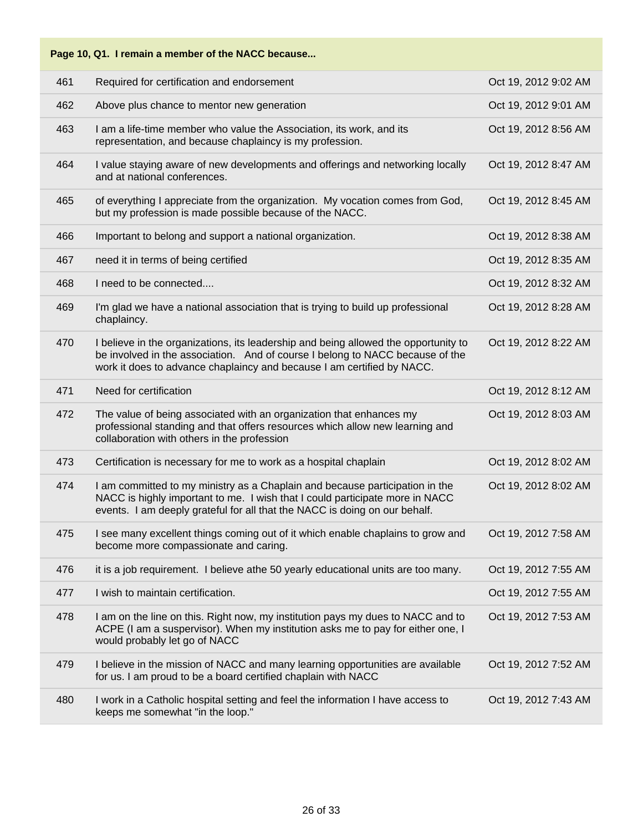### **Page 10, Q1. I remain a member of the NACC because...** 461 Required for certification and endorsement Oct 19, 2012 9:02 AM 462 Above plus chance to mentor new generation **Above 2012 9:01 AM** Oct 19, 2012 9:01 AM 463 I am a life-time member who value the Association, its work, and its representation, and because chaplaincy is my profession. Oct 19, 2012 8:56 AM 464 I value staying aware of new developments and offerings and networking locally and at national conferences. Oct 19, 2012 8:47 AM 465 of everything I appreciate from the organization. My vocation comes from God, but my profession is made possible because of the NACC. Oct 19, 2012 8:45 AM 466 Important to belong and support a national organization. The control of the Cost 19, 2012 8:38 AM 467 need it in terms of being certified **Case 19, 2012 8:35 AM** 468 I need to be connected.... Oct 19, 2012 8:32 AM 469 I'm glad we have a national association that is trying to build up professional chaplaincy. Oct 19, 2012 8:28 AM 470 I believe in the organizations, its leadership and being allowed the opportunity to be involved in the association. And of course I belong to NACC because of the work it does to advance chaplaincy and because I am certified by NACC. Oct 19, 2012 8:22 AM 471 Need for certification Oct 19, 2012 8:12 AM 472 The value of being associated with an organization that enhances my professional standing and that offers resources which allow new learning and collaboration with others in the profession Oct 19, 2012 8:03 AM 473 Certification is necessary for me to work as a hospital chaplain Oct 19, 2012 8:02 AM 474 I am committed to my ministry as a Chaplain and because participation in the NACC is highly important to me. I wish that I could participate more in NACC events. I am deeply grateful for all that the NACC is doing on our behalf. Oct 19, 2012 8:02 AM 475 I see many excellent things coming out of it which enable chaplains to grow and become more compassionate and caring. Oct 19, 2012 7:58 AM 476 it is a job requirement. I believe athe 50 yearly educational units are too many. Oct 19, 2012 7:55 AM And I wish to maintain certification. And I wish to maintain certification. 478 I am on the line on this. Right now, my institution pays my dues to NACC and to ACPE (I am a suspervisor). When my institution asks me to pay for either one, I would probably let go of NACC Oct 19, 2012 7:53 AM 479 I believe in the mission of NACC and many learning opportunities are available for us. I am proud to be a board certified chaplain with NACC Oct 19, 2012 7:52 AM 480 I work in a Catholic hospital setting and feel the information I have access to keeps me somewhat "in the loop." Oct 19, 2012 7:43 AM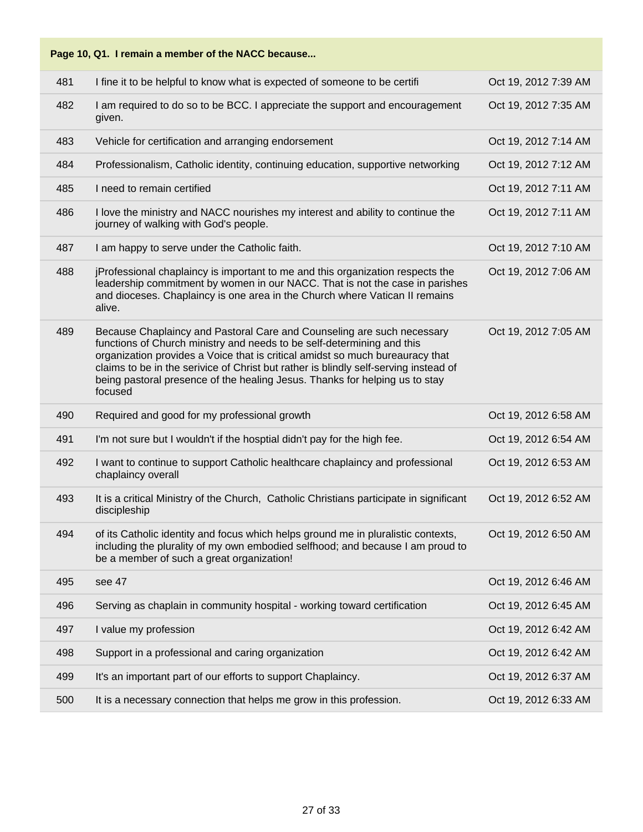| Page 10, Q1. I remain a member of the NACC because |                                                                                                                                                                                                                                                                                                                                                                                                                     |                      |  |
|----------------------------------------------------|---------------------------------------------------------------------------------------------------------------------------------------------------------------------------------------------------------------------------------------------------------------------------------------------------------------------------------------------------------------------------------------------------------------------|----------------------|--|
| 481                                                | I fine it to be helpful to know what is expected of someone to be certifi                                                                                                                                                                                                                                                                                                                                           | Oct 19, 2012 7:39 AM |  |
| 482                                                | I am required to do so to be BCC. I appreciate the support and encouragement<br>given.                                                                                                                                                                                                                                                                                                                              | Oct 19, 2012 7:35 AM |  |
| 483                                                | Vehicle for certification and arranging endorsement                                                                                                                                                                                                                                                                                                                                                                 | Oct 19, 2012 7:14 AM |  |
| 484                                                | Professionalism, Catholic identity, continuing education, supportive networking                                                                                                                                                                                                                                                                                                                                     | Oct 19, 2012 7:12 AM |  |
| 485                                                | I need to remain certified                                                                                                                                                                                                                                                                                                                                                                                          | Oct 19, 2012 7:11 AM |  |
| 486                                                | I love the ministry and NACC nourishes my interest and ability to continue the<br>journey of walking with God's people.                                                                                                                                                                                                                                                                                             | Oct 19, 2012 7:11 AM |  |
| 487                                                | I am happy to serve under the Catholic faith.                                                                                                                                                                                                                                                                                                                                                                       | Oct 19, 2012 7:10 AM |  |
| 488                                                | jProfessional chaplaincy is important to me and this organization respects the<br>leadership commitment by women in our NACC. That is not the case in parishes<br>and dioceses. Chaplaincy is one area in the Church where Vatican II remains<br>alive.                                                                                                                                                             | Oct 19, 2012 7:06 AM |  |
| 489                                                | Because Chaplaincy and Pastoral Care and Counseling are such necessary<br>functions of Church ministry and needs to be self-determining and this<br>organization provides a Voice that is critical amidst so much bureauracy that<br>claims to be in the serivice of Christ but rather is blindly self-serving instead of<br>being pastoral presence of the healing Jesus. Thanks for helping us to stay<br>focused | Oct 19, 2012 7:05 AM |  |
| 490                                                | Required and good for my professional growth                                                                                                                                                                                                                                                                                                                                                                        | Oct 19, 2012 6:58 AM |  |
| 491                                                | I'm not sure but I wouldn't if the hosptial didn't pay for the high fee.                                                                                                                                                                                                                                                                                                                                            | Oct 19, 2012 6:54 AM |  |
| 492                                                | I want to continue to support Catholic healthcare chaplaincy and professional<br>chaplaincy overall                                                                                                                                                                                                                                                                                                                 | Oct 19, 2012 6:53 AM |  |
| 493                                                | It is a critical Ministry of the Church, Catholic Christians participate in significant<br>discipleship                                                                                                                                                                                                                                                                                                             | Oct 19, 2012 6:52 AM |  |
| 494                                                | of its Catholic identity and focus which helps ground me in pluralistic contexts,<br>including the plurality of my own embodied selfhood; and because I am proud to<br>be a member of such a great organization!                                                                                                                                                                                                    | Oct 19, 2012 6:50 AM |  |
| 495                                                | see 47                                                                                                                                                                                                                                                                                                                                                                                                              | Oct 19, 2012 6:46 AM |  |
| 496                                                | Serving as chaplain in community hospital - working toward certification                                                                                                                                                                                                                                                                                                                                            | Oct 19, 2012 6:45 AM |  |
| 497                                                | I value my profession                                                                                                                                                                                                                                                                                                                                                                                               | Oct 19, 2012 6:42 AM |  |
| 498                                                | Support in a professional and caring organization                                                                                                                                                                                                                                                                                                                                                                   | Oct 19, 2012 6:42 AM |  |
| 499                                                | It's an important part of our efforts to support Chaplaincy.                                                                                                                                                                                                                                                                                                                                                        | Oct 19, 2012 6:37 AM |  |
| 500                                                | It is a necessary connection that helps me grow in this profession.                                                                                                                                                                                                                                                                                                                                                 | Oct 19, 2012 6:33 AM |  |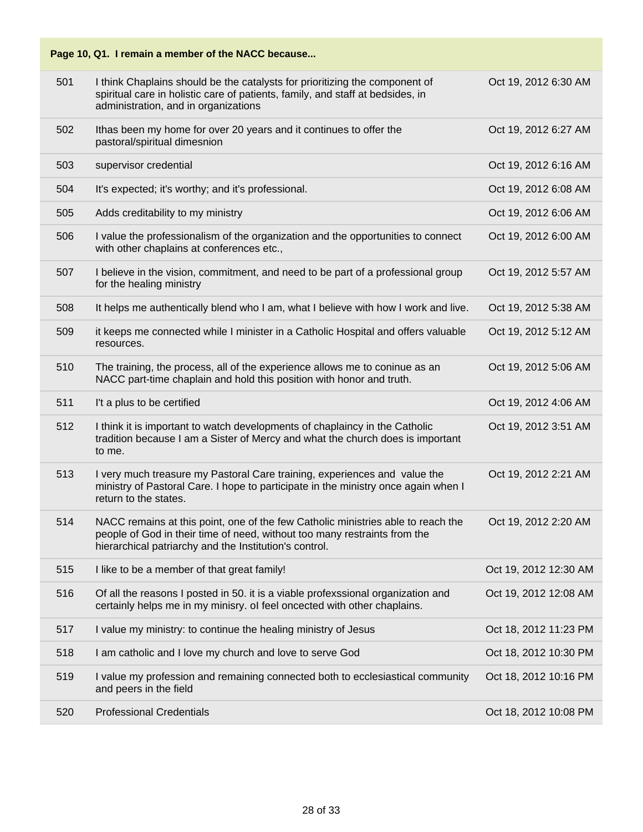|     | Page 10, Q1. I remain a member of the NACC because                                                                                                                                                                      |                       |
|-----|-------------------------------------------------------------------------------------------------------------------------------------------------------------------------------------------------------------------------|-----------------------|
| 501 | I think Chaplains should be the catalysts for prioritizing the component of<br>spiritual care in holistic care of patients, family, and staff at bedsides, in<br>administration, and in organizations                   | Oct 19, 2012 6:30 AM  |
| 502 | Ithas been my home for over 20 years and it continues to offer the<br>pastoral/spiritual dimesnion                                                                                                                      | Oct 19, 2012 6:27 AM  |
| 503 | supervisor credential                                                                                                                                                                                                   | Oct 19, 2012 6:16 AM  |
| 504 | It's expected; it's worthy; and it's professional.                                                                                                                                                                      | Oct 19, 2012 6:08 AM  |
| 505 | Adds creditability to my ministry                                                                                                                                                                                       | Oct 19, 2012 6:06 AM  |
| 506 | I value the professionalism of the organization and the opportunities to connect<br>with other chaplains at conferences etc.,                                                                                           | Oct 19, 2012 6:00 AM  |
| 507 | I believe in the vision, commitment, and need to be part of a professional group<br>for the healing ministry                                                                                                            | Oct 19, 2012 5:57 AM  |
| 508 | It helps me authentically blend who I am, what I believe with how I work and live.                                                                                                                                      | Oct 19, 2012 5:38 AM  |
| 509 | it keeps me connected while I minister in a Catholic Hospital and offers valuable<br>resources.                                                                                                                         | Oct 19, 2012 5:12 AM  |
| 510 | The training, the process, all of the experience allows me to coninue as an<br>NACC part-time chaplain and hold this position with honor and truth.                                                                     | Oct 19, 2012 5:06 AM  |
| 511 | I't a plus to be certified                                                                                                                                                                                              | Oct 19, 2012 4:06 AM  |
| 512 | I think it is important to watch developments of chaplaincy in the Catholic<br>tradition because I am a Sister of Mercy and what the church does is important<br>to me.                                                 | Oct 19, 2012 3:51 AM  |
| 513 | I very much treasure my Pastoral Care training, experiences and value the<br>ministry of Pastoral Care. I hope to participate in the ministry once again when I<br>return to the states.                                | Oct 19, 2012 2:21 AM  |
| 514 | NACC remains at this point, one of the few Catholic ministries able to reach the<br>people of God in their time of need, without too many restraints from the<br>hierarchical patriarchy and the Institution's control. | Oct 19, 2012 2:20 AM  |
| 515 | I like to be a member of that great family!                                                                                                                                                                             | Oct 19, 2012 12:30 AM |
| 516 | Of all the reasons I posted in 50. it is a viable profexssional organization and<br>certainly helps me in my minisry. ol feel oncected with other chaplains.                                                            | Oct 19, 2012 12:08 AM |
| 517 | I value my ministry: to continue the healing ministry of Jesus                                                                                                                                                          | Oct 18, 2012 11:23 PM |
| 518 | I am catholic and I love my church and love to serve God                                                                                                                                                                | Oct 18, 2012 10:30 PM |
| 519 | I value my profession and remaining connected both to ecclesiastical community<br>and peers in the field                                                                                                                | Oct 18, 2012 10:16 PM |
| 520 | <b>Professional Credentials</b>                                                                                                                                                                                         | Oct 18, 2012 10:08 PM |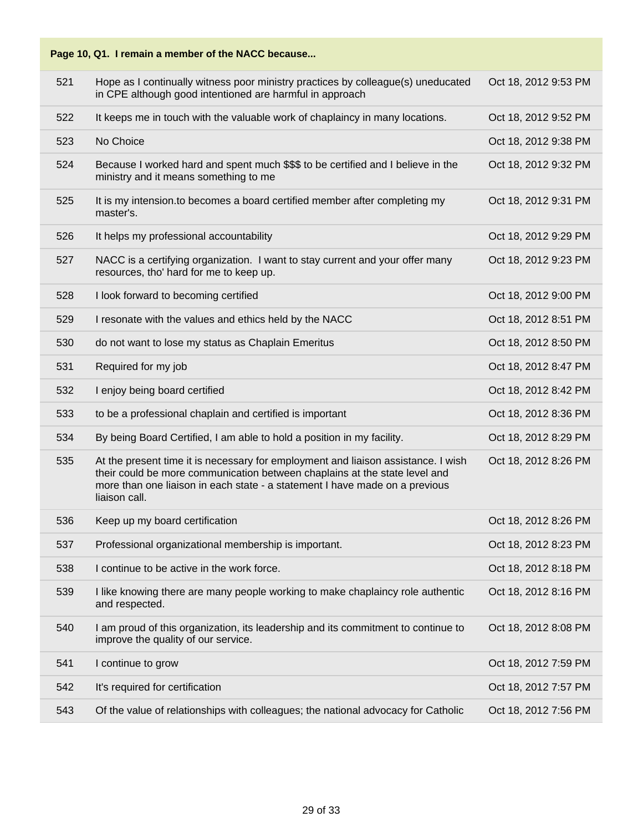**Page 10, Q1. I remain a member of the NACC because...**

| 521 | Hope as I continually witness poor ministry practices by colleague(s) uneducated<br>in CPE although good intentioned are harmful in approach                                                                                                                    | Oct 18, 2012 9:53 PM |
|-----|-----------------------------------------------------------------------------------------------------------------------------------------------------------------------------------------------------------------------------------------------------------------|----------------------|
| 522 | It keeps me in touch with the valuable work of chaplaincy in many locations.                                                                                                                                                                                    | Oct 18, 2012 9:52 PM |
| 523 | No Choice                                                                                                                                                                                                                                                       | Oct 18, 2012 9:38 PM |
| 524 | Because I worked hard and spent much \$\$\$ to be certified and I believe in the<br>ministry and it means something to me                                                                                                                                       | Oct 18, 2012 9:32 PM |
| 525 | It is my intension to becomes a board certified member after completing my<br>master's.                                                                                                                                                                         | Oct 18, 2012 9:31 PM |
| 526 | It helps my professional accountability                                                                                                                                                                                                                         | Oct 18, 2012 9:29 PM |
| 527 | NACC is a certifying organization. I want to stay current and your offer many<br>resources, tho' hard for me to keep up.                                                                                                                                        | Oct 18, 2012 9:23 PM |
| 528 | I look forward to becoming certified                                                                                                                                                                                                                            | Oct 18, 2012 9:00 PM |
| 529 | I resonate with the values and ethics held by the NACC                                                                                                                                                                                                          | Oct 18, 2012 8:51 PM |
| 530 | do not want to lose my status as Chaplain Emeritus                                                                                                                                                                                                              | Oct 18, 2012 8:50 PM |
| 531 | Required for my job                                                                                                                                                                                                                                             | Oct 18, 2012 8:47 PM |
| 532 | I enjoy being board certified                                                                                                                                                                                                                                   | Oct 18, 2012 8:42 PM |
| 533 | to be a professional chaplain and certified is important                                                                                                                                                                                                        | Oct 18, 2012 8:36 PM |
| 534 | By being Board Certified, I am able to hold a position in my facility.                                                                                                                                                                                          | Oct 18, 2012 8:29 PM |
| 535 | At the present time it is necessary for employment and liaison assistance. I wish<br>their could be more communication between chaplains at the state level and<br>more than one liaison in each state - a statement I have made on a previous<br>liaison call. | Oct 18, 2012 8:26 PM |
| 536 | Keep up my board certification                                                                                                                                                                                                                                  | Oct 18, 2012 8:26 PM |
| 537 | Professional organizational membership is important.                                                                                                                                                                                                            | Oct 18, 2012 8:23 PM |
| 538 | I continue to be active in the work force.                                                                                                                                                                                                                      | Oct 18, 2012 8:18 PM |
| 539 | I like knowing there are many people working to make chaplaincy role authentic<br>and respected.                                                                                                                                                                | Oct 18, 2012 8:16 PM |
| 540 | I am proud of this organization, its leadership and its commitment to continue to<br>improve the quality of our service.                                                                                                                                        | Oct 18, 2012 8:08 PM |
| 541 | I continue to grow                                                                                                                                                                                                                                              | Oct 18, 2012 7:59 PM |
| 542 | It's required for certification                                                                                                                                                                                                                                 | Oct 18, 2012 7:57 PM |
| 543 | Of the value of relationships with colleagues; the national advocacy for Catholic                                                                                                                                                                               | Oct 18, 2012 7:56 PM |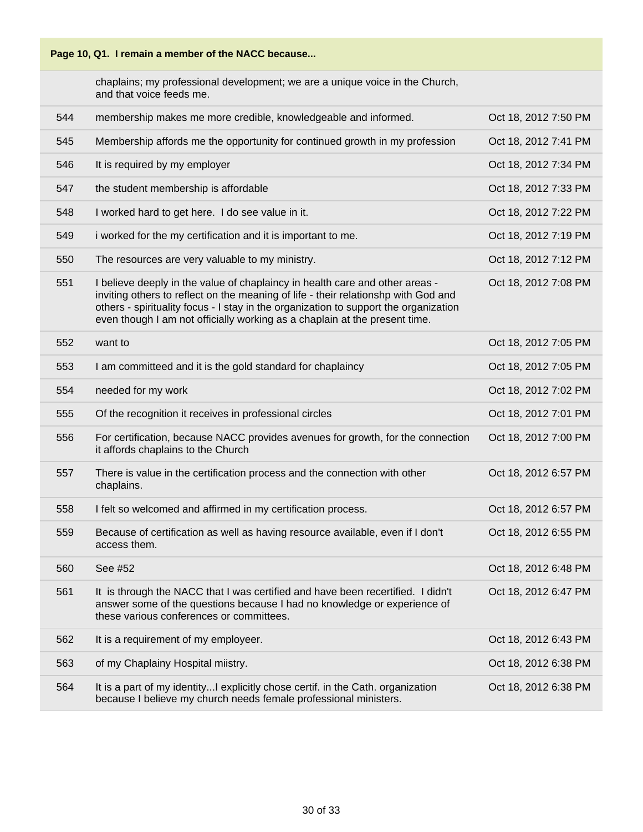

chaplains; my professional development; we are a unique voice in the Church, and that voice feeds me.

| 544 | membership makes me more credible, knowledgeable and informed.                                                                                                                                                                                                                                                                           | Oct 18, 2012 7:50 PM |
|-----|------------------------------------------------------------------------------------------------------------------------------------------------------------------------------------------------------------------------------------------------------------------------------------------------------------------------------------------|----------------------|
| 545 | Membership affords me the opportunity for continued growth in my profession                                                                                                                                                                                                                                                              | Oct 18, 2012 7:41 PM |
| 546 | It is required by my employer                                                                                                                                                                                                                                                                                                            | Oct 18, 2012 7:34 PM |
| 547 | the student membership is affordable                                                                                                                                                                                                                                                                                                     | Oct 18, 2012 7:33 PM |
| 548 | I worked hard to get here. I do see value in it.                                                                                                                                                                                                                                                                                         | Oct 18, 2012 7:22 PM |
| 549 | i worked for the my certification and it is important to me.                                                                                                                                                                                                                                                                             | Oct 18, 2012 7:19 PM |
| 550 | The resources are very valuable to my ministry.                                                                                                                                                                                                                                                                                          | Oct 18, 2012 7:12 PM |
| 551 | I believe deeply in the value of chaplaincy in health care and other areas -<br>inviting others to reflect on the meaning of life - their relationshp with God and<br>others - spirituality focus - I stay in the organization to support the organization<br>even though I am not officially working as a chaplain at the present time. | Oct 18, 2012 7:08 PM |
| 552 | want to                                                                                                                                                                                                                                                                                                                                  | Oct 18, 2012 7:05 PM |
| 553 | I am committeed and it is the gold standard for chaplaincy                                                                                                                                                                                                                                                                               | Oct 18, 2012 7:05 PM |
| 554 | needed for my work                                                                                                                                                                                                                                                                                                                       | Oct 18, 2012 7:02 PM |
| 555 | Of the recognition it receives in professional circles                                                                                                                                                                                                                                                                                   | Oct 18, 2012 7:01 PM |
| 556 | For certification, because NACC provides avenues for growth, for the connection<br>it affords chaplains to the Church                                                                                                                                                                                                                    | Oct 18, 2012 7:00 PM |
| 557 | There is value in the certification process and the connection with other<br>chaplains.                                                                                                                                                                                                                                                  | Oct 18, 2012 6:57 PM |
| 558 | I felt so welcomed and affirmed in my certification process.                                                                                                                                                                                                                                                                             | Oct 18, 2012 6:57 PM |
| 559 | Because of certification as well as having resource available, even if I don't<br>access them.                                                                                                                                                                                                                                           | Oct 18, 2012 6:55 PM |
| 560 | See #52                                                                                                                                                                                                                                                                                                                                  | Oct 18, 2012 6:48 PM |
| 561 | It is through the NACC that I was certified and have been recertified. I didn't<br>answer some of the questions because I had no knowledge or experience of<br>these various conferences or committees.                                                                                                                                  | Oct 18, 2012 6:47 PM |
| 562 | It is a requirement of my employeer.                                                                                                                                                                                                                                                                                                     | Oct 18, 2012 6:43 PM |
| 563 | of my Chaplainy Hospital miistry.                                                                                                                                                                                                                                                                                                        | Oct 18, 2012 6:38 PM |
| 564 | It is a part of my identityI explicitly chose certif. in the Cath. organization<br>because I believe my church needs female professional ministers.                                                                                                                                                                                      | Oct 18, 2012 6:38 PM |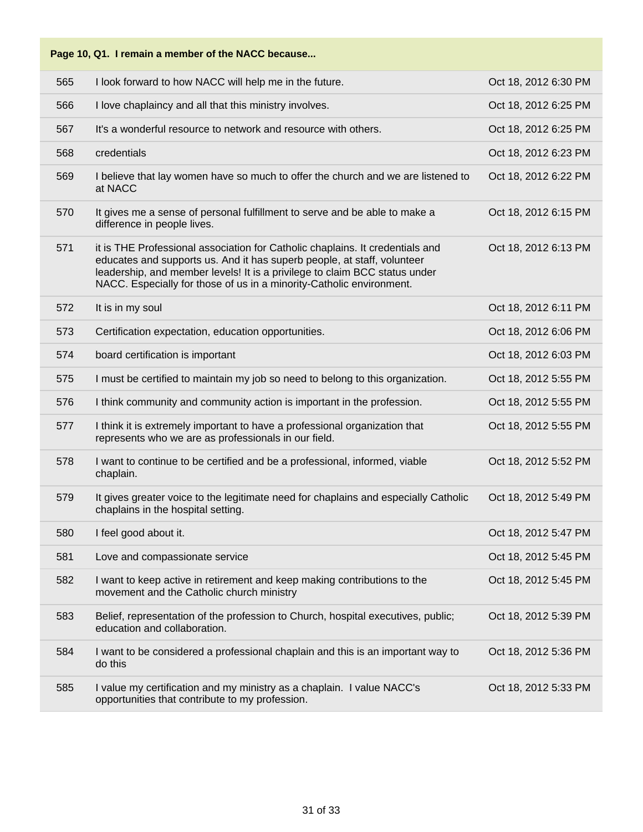|  | Page 10, Q1. I remain a member of the NACC because |
|--|----------------------------------------------------|
|--|----------------------------------------------------|

| 565 | I look forward to how NACC will help me in the future.                                                                                                                                                                                                                                                         | Oct 18, 2012 6:30 PM |
|-----|----------------------------------------------------------------------------------------------------------------------------------------------------------------------------------------------------------------------------------------------------------------------------------------------------------------|----------------------|
| 566 | I love chaplaincy and all that this ministry involves.                                                                                                                                                                                                                                                         | Oct 18, 2012 6:25 PM |
| 567 | It's a wonderful resource to network and resource with others.                                                                                                                                                                                                                                                 | Oct 18, 2012 6:25 PM |
| 568 | credentials                                                                                                                                                                                                                                                                                                    | Oct 18, 2012 6:23 PM |
| 569 | I believe that lay women have so much to offer the church and we are listened to<br>at NACC                                                                                                                                                                                                                    | Oct 18, 2012 6:22 PM |
| 570 | It gives me a sense of personal fulfillment to serve and be able to make a<br>difference in people lives.                                                                                                                                                                                                      | Oct 18, 2012 6:15 PM |
| 571 | it is THE Professional association for Catholic chaplains. It credentials and<br>educates and supports us. And it has superb people, at staff, volunteer<br>leadership, and member levels! It is a privilege to claim BCC status under<br>NACC. Especially for those of us in a minority-Catholic environment. | Oct 18, 2012 6:13 PM |
| 572 | It is in my soul                                                                                                                                                                                                                                                                                               | Oct 18, 2012 6:11 PM |
| 573 | Certification expectation, education opportunities.                                                                                                                                                                                                                                                            | Oct 18, 2012 6:06 PM |
| 574 | board certification is important                                                                                                                                                                                                                                                                               | Oct 18, 2012 6:03 PM |
| 575 | I must be certified to maintain my job so need to belong to this organization.                                                                                                                                                                                                                                 | Oct 18, 2012 5:55 PM |
| 576 | I think community and community action is important in the profession.                                                                                                                                                                                                                                         | Oct 18, 2012 5:55 PM |
| 577 | I think it is extremely important to have a professional organization that<br>represents who we are as professionals in our field.                                                                                                                                                                             | Oct 18, 2012 5:55 PM |
| 578 | I want to continue to be certified and be a professional, informed, viable<br>chaplain.                                                                                                                                                                                                                        | Oct 18, 2012 5:52 PM |
| 579 | It gives greater voice to the legitimate need for chaplains and especially Catholic<br>chaplains in the hospital setting.                                                                                                                                                                                      | Oct 18, 2012 5:49 PM |
| 580 | I feel good about it.                                                                                                                                                                                                                                                                                          | Oct 18, 2012 5:47 PM |
| 581 | Love and compassionate service                                                                                                                                                                                                                                                                                 | Oct 18, 2012 5:45 PM |
| 582 | I want to keep active in retirement and keep making contributions to the<br>movement and the Catholic church ministry                                                                                                                                                                                          | Oct 18, 2012 5:45 PM |
| 583 | Belief, representation of the profession to Church, hospital executives, public;<br>education and collaboration.                                                                                                                                                                                               | Oct 18, 2012 5:39 PM |
| 584 | I want to be considered a professional chaplain and this is an important way to<br>do this                                                                                                                                                                                                                     | Oct 18, 2012 5:36 PM |
| 585 | I value my certification and my ministry as a chaplain. I value NACC's<br>opportunities that contribute to my profession.                                                                                                                                                                                      | Oct 18, 2012 5:33 PM |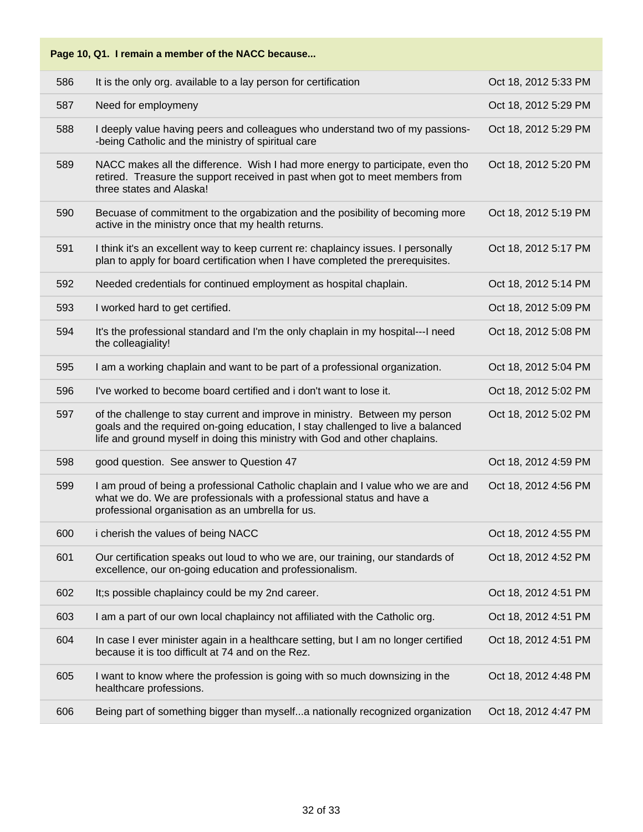| 586 | It is the only org. available to a lay person for certification                                                                                                                                                                               | Oct 18, 2012 5:33 PM |
|-----|-----------------------------------------------------------------------------------------------------------------------------------------------------------------------------------------------------------------------------------------------|----------------------|
| 587 | Need for employmeny                                                                                                                                                                                                                           | Oct 18, 2012 5:29 PM |
| 588 | I deeply value having peers and colleagues who understand two of my passions-<br>-being Catholic and the ministry of spiritual care                                                                                                           | Oct 18, 2012 5:29 PM |
| 589 | NACC makes all the difference. Wish I had more energy to participate, even tho<br>retired. Treasure the support received in past when got to meet members from<br>three states and Alaska!                                                    | Oct 18, 2012 5:20 PM |
| 590 | Becuase of commitment to the orgabization and the posibility of becoming more<br>active in the ministry once that my health returns.                                                                                                          | Oct 18, 2012 5:19 PM |
| 591 | I think it's an excellent way to keep current re: chaplaincy issues. I personally<br>plan to apply for board certification when I have completed the prerequisites.                                                                           | Oct 18, 2012 5:17 PM |
| 592 | Needed credentials for continued employment as hospital chaplain.                                                                                                                                                                             | Oct 18, 2012 5:14 PM |
| 593 | I worked hard to get certified.                                                                                                                                                                                                               | Oct 18, 2012 5:09 PM |
| 594 | It's the professional standard and I'm the only chaplain in my hospital---I need<br>the colleagiality!                                                                                                                                        | Oct 18, 2012 5:08 PM |
| 595 | I am a working chaplain and want to be part of a professional organization.                                                                                                                                                                   | Oct 18, 2012 5:04 PM |
| 596 | I've worked to become board certified and i don't want to lose it.                                                                                                                                                                            | Oct 18, 2012 5:02 PM |
| 597 | of the challenge to stay current and improve in ministry. Between my person<br>goals and the required on-going education, I stay challenged to live a balanced<br>life and ground myself in doing this ministry with God and other chaplains. | Oct 18, 2012 5:02 PM |
| 598 | good question. See answer to Question 47                                                                                                                                                                                                      | Oct 18, 2012 4:59 PM |
| 599 | I am proud of being a professional Catholic chaplain and I value who we are and<br>what we do. We are professionals with a professional status and have a<br>professional organisation as an umbrella for us.                                 | Oct 18, 2012 4:56 PM |
| 600 | i cherish the values of being NACC                                                                                                                                                                                                            | Oct 18, 2012 4:55 PM |
| 601 | Our certification speaks out loud to who we are, our training, our standards of<br>excellence, our on-going education and professionalism.                                                                                                    | Oct 18, 2012 4:52 PM |
| 602 | It;s possible chaplaincy could be my 2nd career.                                                                                                                                                                                              | Oct 18, 2012 4:51 PM |
| 603 | I am a part of our own local chaplaincy not affiliated with the Catholic org.                                                                                                                                                                 | Oct 18, 2012 4:51 PM |
| 604 | In case I ever minister again in a healthcare setting, but I am no longer certified<br>because it is too difficult at 74 and on the Rez.                                                                                                      | Oct 18, 2012 4:51 PM |
| 605 | I want to know where the profession is going with so much downsizing in the<br>healthcare professions.                                                                                                                                        | Oct 18, 2012 4:48 PM |
| 606 | Being part of something bigger than myselfa nationally recognized organization                                                                                                                                                                | Oct 18, 2012 4:47 PM |